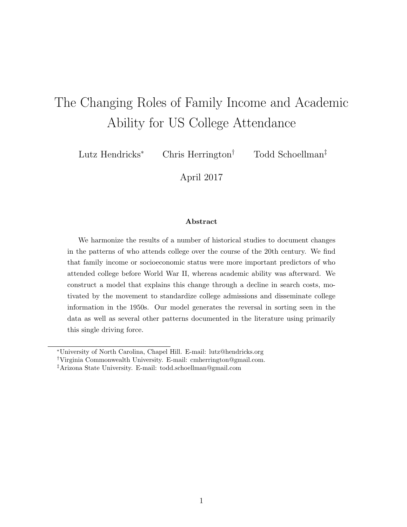# The Changing Roles of Family Income and Academic Ability for US College Attendance

Lutz Hendricks<sup>∗</sup> Chris Herrington† Todd Schoellman‡

April 2017

#### Abstract

We harmonize the results of a number of historical studies to document changes in the patterns of who attends college over the course of the 20th century. We find that family income or socioeconomic status were more important predictors of who attended college before World War II, whereas academic ability was afterward. We construct a model that explains this change through a decline in search costs, motivated by the movement to standardize college admissions and disseminate college information in the 1950s. Our model generates the reversal in sorting seen in the data as well as several other patterns documented in the literature using primarily this single driving force.

<sup>∗</sup>University of North Carolina, Chapel Hill. E-mail: lutz@hendricks.org

<sup>†</sup>Virginia Commonwealth University. E-mail: cmherrington@gmail.com.

<sup>‡</sup>Arizona State University. E-mail: todd.schoellman@gmail.com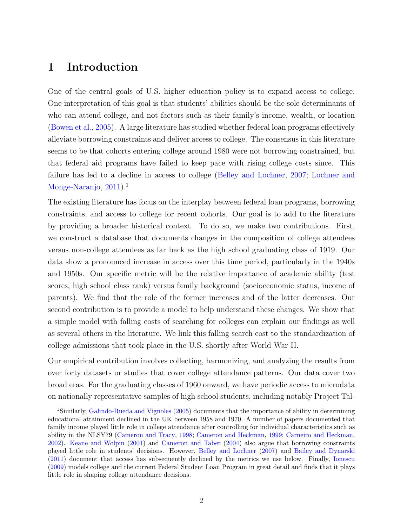# 1 Introduction

One of the central goals of U.S. higher education policy is to expand access to college. One interpretation of this goal is that students' abilities should be the sole determinants of who can attend college, and not factors such as their family's income, wealth, or location [\(Bowen et al.,](#page-27-0) [2005\)](#page-27-0). A large literature has studied whether federal loan programs effectively alleviate borrowing constraints and deliver access to college. The consensus in this literature seems to be that cohorts entering college around 1980 were not borrowing constrained, but that federal aid programs have failed to keep pace with rising college costs since. This failure has led to a decline in access to college [\(Belley and Lochner,](#page-27-1) [2007;](#page-27-1) [Lochner and](#page-31-0) [Monge-Naranjo,](#page-31-0)  $2011$  $2011$  $2011$ ).<sup>1</sup>

The existing literature has focus on the interplay between federal loan programs, borrowing constraints, and access to college for recent cohorts. Our goal is to add to the literature by providing a broader historical context. To do so, we make two contributions. First, we construct a database that documents changes in the composition of college attendees versus non-college attendees as far back as the high school graduating class of 1919. Our data show a pronounced increase in access over this time period, particularly in the 1940s and 1950s. Our specific metric will be the relative importance of academic ability (test scores, high school class rank) versus family background (socioeconomic status, income of parents). We find that the role of the former increases and of the latter decreases. Our second contribution is to provide a model to help understand these changes. We show that a simple model with falling costs of searching for colleges can explain our findings as well as several others in the literature. We link this falling search cost to the standardization of college admissions that took place in the U.S. shortly after World War II.

Our empirical contribution involves collecting, harmonizing, and analyzing the results from over forty datasets or studies that cover college attendance patterns. Our data cover two broad eras. For the graduating classes of 1960 onward, we have periodic access to microdata on nationally representative samples of high school students, including notably Project Tal-

<span id="page-1-0"></span><sup>1</sup>Similarly, [Galindo-Rueda and Vignoles](#page-29-0) [\(2005\)](#page-29-0) documents that the importance of ability in determining educational attainment declined in the UK between 1958 and 1970. A number of papers documented that family income played little role in college attendance after controlling for individual characteristics such as ability in the NLSY79 [\(Cameron and Tracy,](#page-28-0) [1998;](#page-28-0) [Cameron and Heckman,](#page-28-1) [1999;](#page-28-1) [Carneiro and Heckman,](#page-28-2) [2002\)](#page-28-2). [Keane and Wolpin](#page-31-1) [\(2001\)](#page-31-1) and [Cameron and Taber](#page-28-3) [\(2004\)](#page-28-3) also argue that borrowing constraints played little role in students' decisions. However, [Belley and Lochner](#page-27-1) [\(2007\)](#page-27-1) and [Bailey and Dynarski](#page-27-2) [\(2011\)](#page-27-2) document that access has subsequently declined by the metrics we use below. Finally, [Ionescu](#page-30-0) [\(2009\)](#page-30-0) models college and the current Federal Student Loan Program in great detail and finds that it plays little role in shaping college attendance decisions.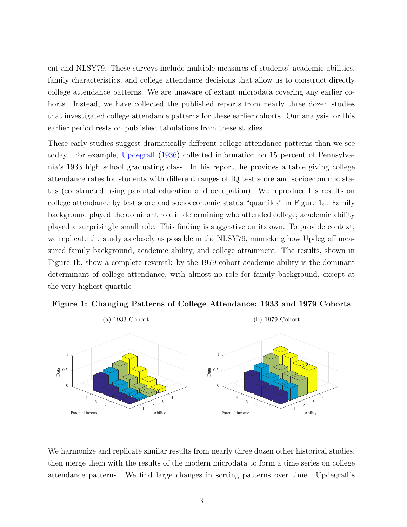ent and NLSY79. These surveys include multiple measures of students' academic abilities, family characteristics, and college attendance decisions that allow us to construct directly college attendance patterns. We are unaware of extant microdata covering any earlier cohorts. Instead, we have collected the published reports from nearly three dozen studies that investigated college attendance patterns for these earlier cohorts. Our analysis for this earlier period rests on published tabulations from these studies.

These early studies suggest dramatically different college attendance patterns than we see today. For example, [Updegraff](#page-33-0) [\(1936\)](#page-33-0) collected information on 15 percent of Pennsylvania's 1933 high school graduating class. In his report, he provides a table giving college attendance rates for students with different ranges of IQ test score and socioeconomic status (constructed using parental education and occupation). We reproduce his results on college attendance by test score and socioeconomic status "quartiles" in Figure [1a.](#page-2-0) Family background played the dominant role in determining who attended college; academic ability played a surprisingly small role. This finding is suggestive on its own. To provide context, we replicate the study as closely as possible in the NLSY79, mimicking how Updegraff measured family background, academic ability, and college attainment. The results, shown in Figure [1b,](#page-2-1) show a complete reversal: by the 1979 cohort academic ability is the dominant determinant of college attendance, with almost no role for family background, except at the very highest quartile

<span id="page-2-0"></span>

<span id="page-2-2"></span><span id="page-2-1"></span>Figure 1: Changing Patterns of College Attendance: 1933 and 1979 Cohorts

We harmonize and replicate similar results from nearly three dozen other historical studies, then merge them with the results of the modern microdata to form a time series on college attendance patterns. We find large changes in sorting patterns over time. Updegraff's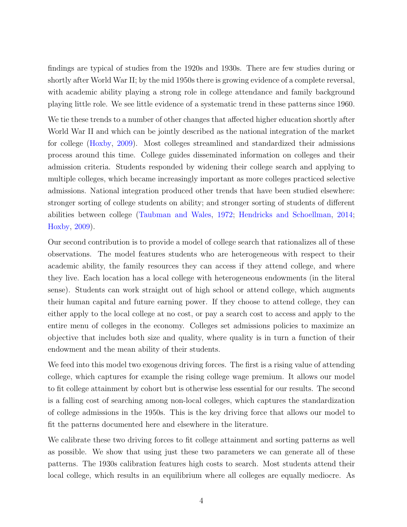findings are typical of studies from the 1920s and 1930s. There are few studies during or shortly after World War II; by the mid 1950s there is growing evidence of a complete reversal, with academic ability playing a strong role in college attendance and family background playing little role. We see little evidence of a systematic trend in these patterns since 1960.

We tie these trends to a number of other changes that affected higher education shortly after World War II and which can be jointly described as the national integration of the market for college [\(Hoxby,](#page-30-1) [2009\)](#page-30-1). Most colleges streamlined and standardized their admissions process around this time. College guides disseminated information on colleges and their admission criteria. Students responded by widening their college search and applying to multiple colleges, which became increasingly important as more colleges practiced selective admissions. National integration produced other trends that have been studied elsewhere: stronger sorting of college students on ability; and stronger sorting of students of different abilities between college [\(Taubman and Wales,](#page-33-1) [1972;](#page-33-1) [Hendricks and Schoellman,](#page-30-2) [2014;](#page-30-2) [Hoxby,](#page-30-1) [2009\)](#page-30-1).

Our second contribution is to provide a model of college search that rationalizes all of these observations. The model features students who are heterogeneous with respect to their academic ability, the family resources they can access if they attend college, and where they live. Each location has a local college with heterogeneous endowments (in the literal sense). Students can work straight out of high school or attend college, which augments their human capital and future earning power. If they choose to attend college, they can either apply to the local college at no cost, or pay a search cost to access and apply to the entire menu of colleges in the economy. Colleges set admissions policies to maximize an objective that includes both size and quality, where quality is in turn a function of their endowment and the mean ability of their students.

We feed into this model two exogenous driving forces. The first is a rising value of attending college, which captures for example the rising college wage premium. It allows our model to fit college attainment by cohort but is otherwise less essential for our results. The second is a falling cost of searching among non-local colleges, which captures the standardization of college admissions in the 1950s. This is the key driving force that allows our model to fit the patterns documented here and elsewhere in the literature.

We calibrate these two driving forces to fit college attainment and sorting patterns as well as possible. We show that using just these two parameters we can generate all of these patterns. The 1930s calibration features high costs to search. Most students attend their local college, which results in an equilibrium where all colleges are equally mediocre. As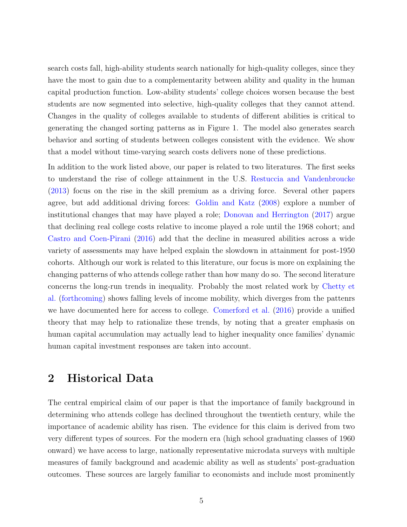search costs fall, high-ability students search nationally for high-quality colleges, since they have the most to gain due to a complementarity between ability and quality in the human capital production function. Low-ability students' college choices worsen because the best students are now segmented into selective, high-quality colleges that they cannot attend. Changes in the quality of colleges available to students of different abilities is critical to generating the changed sorting patterns as in Figure 1. The model also generates search behavior and sorting of students between colleges consistent with the evidence. We show that a model without time-varying search costs delivers none of these predictions.

In addition to the work listed above, our paper is related to two literatures. The first seeks to understand the rise of college attainment in the U.S. [Restuccia and Vandenbroucke](#page-32-0) [\(2013\)](#page-32-0) focus on the rise in the skill premium as a driving force. Several other papers agree, but add additional driving forces: [Goldin and Katz](#page-29-1) [\(2008\)](#page-29-1) explore a number of institutional changes that may have played a role; [Donovan and Herrington](#page-28-4) [\(2017\)](#page-28-4) argue that declining real college costs relative to income played a role until the 1968 cohort; and [Castro and Coen-Pirani](#page-28-5) [\(2016\)](#page-28-5) add that the decline in measured abilities across a wide variety of assessments may have helped explain the slowdown in attainment for post-1950 cohorts. Although our work is related to this literature, our focus is more on explaining the changing patterns of who attends college rather than how many do so. The second literature concerns the long-run trends in inequality. Probably the most related work by [Chetty et](#page-28-6) [al.](#page-28-6) [\(forthcoming\)](#page-28-6) shows falling levels of income mobility, which diverges from the pattenrs we have documented here for access to college. [Comerford et al.](#page-28-7) [\(2016\)](#page-28-7) provide a unified theory that may help to rationalize these trends, by noting that a greater emphasis on human capital accumulation may actually lead to higher inequality once families' dynamic human capital investment responses are taken into account.

# 2 Historical Data

The central empirical claim of our paper is that the importance of family background in determining who attends college has declined throughout the twentieth century, while the importance of academic ability has risen. The evidence for this claim is derived from two very different types of sources. For the modern era (high school graduating classes of 1960 onward) we have access to large, nationally representative microdata surveys with multiple measures of family background and academic ability as well as students' post-graduation outcomes. These sources are largely familiar to economists and include most prominently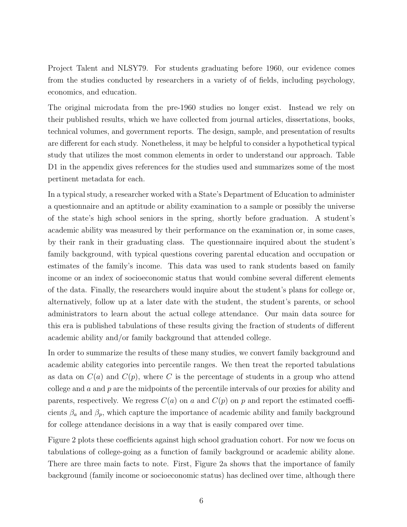Project Talent and NLSY79. For students graduating before 1960, our evidence comes from the studies conducted by researchers in a variety of of fields, including psychology, economics, and education.

The original microdata from the pre-1960 studies no longer exist. Instead we rely on their published results, which we have collected from journal articles, dissertations, books, technical volumes, and government reports. The design, sample, and presentation of results are different for each study. Nonetheless, it may be helpful to consider a hypothetical typical study that utilizes the most common elements in order to understand our approach. Table [D1](#page-54-0) in the appendix gives references for the studies used and summarizes some of the most pertinent metadata for each.

In a typical study, a researcher worked with a State's Department of Education to administer a questionnaire and an aptitude or ability examination to a sample or possibly the universe of the state's high school seniors in the spring, shortly before graduation. A student's academic ability was measured by their performance on the examination or, in some cases, by their rank in their graduating class. The questionnaire inquired about the student's family background, with typical questions covering parental education and occupation or estimates of the family's income. This data was used to rank students based on family income or an index of socioeconomic status that would combine several different elements of the data. Finally, the researchers would inquire about the student's plans for college or, alternatively, follow up at a later date with the student, the student's parents, or school administrators to learn about the actual college attendance. Our main data source for this era is published tabulations of these results giving the fraction of students of different academic ability and/or family background that attended college.

In order to summarize the results of these many studies, we convert family background and academic ability categories into percentile ranges. We then treat the reported tabulations as data on  $C(a)$  and  $C(p)$ , where C is the percentage of students in a group who attend college and  $a$  and  $p$  are the midpoints of the percentile intervals of our proxies for ability and parents, respectively. We regress  $C(a)$  on a and  $C(p)$  on p and report the estimated coefficients  $\beta_a$  and  $\beta_p$ , which capture the importance of academic ability and family background for college attendance decisions in a way that is easily compared over time.

Figure [2](#page-6-0) plots these coefficients against high school graduation cohort. For now we focus on tabulations of college-going as a function of family background or academic ability alone. There are three main facts to note. First, Figure [2a](#page-6-1) shows that the importance of family background (family income or socioeconomic status) has declined over time, although there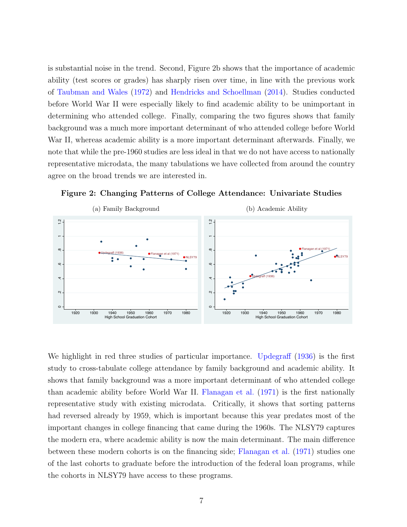is substantial noise in the trend. Second, Figure [2b](#page-6-2) shows that the importance of academic ability (test scores or grades) has sharply risen over time, in line with the previous work of [Taubman and Wales](#page-33-1) [\(1972\)](#page-33-1) and [Hendricks and Schoellman](#page-30-2) [\(2014\)](#page-30-2). Studies conducted before World War II were especially likely to find academic ability to be unimportant in determining who attended college. Finally, comparing the two figures shows that family background was a much more important determinant of who attended college before World War II, whereas academic ability is a more important determinant afterwards. Finally, we note that while the pre-1960 studies are less ideal in that we do not have access to nationally representative microdata, the many tabulations we have collected from around the country agree on the broad trends we are interested in.

<span id="page-6-1"></span>

<span id="page-6-2"></span><span id="page-6-0"></span>

We highlight in red three studies of particular importance. [Updegraff](#page-33-0) [\(1936\)](#page-33-0) is the first study to cross-tabulate college attendance by family background and academic ability. It shows that family background was a more important determinant of who attended college than academic ability before World War II. [Flanagan et al.](#page-29-2) [\(1971\)](#page-29-2) is the first nationally representative study with existing microdata. Critically, it shows that sorting patterns had reversed already by 1959, which is important because this year predates most of the important changes in college financing that came during the 1960s. The NLSY79 captures the modern era, where academic ability is now the main determinant. The main difference between these modern cohorts is on the financing side; [Flanagan et al.](#page-29-2) [\(1971\)](#page-29-2) studies one of the last cohorts to graduate before the introduction of the federal loan programs, while the cohorts in NLSY79 have access to these programs.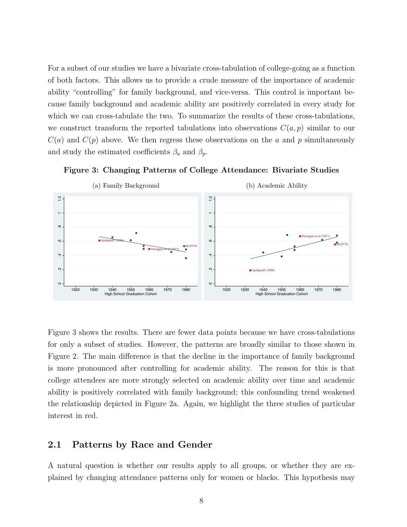For a subset of our studies we have a bivariate cross-tabulation of college-going as a function of both factors. This allows us to provide a crude measure of the importance of academic ability "controlling" for family background, and vice-versa. This control is important because family background and academic ability are positively correlated in every study for which we can cross-tabulate the two. To summarize the results of these cross-tabulations, we construct transform the reported tabulations into observations  $C(a, p)$  similar to our  $C(a)$  and  $C(p)$  above. We then regress these observations on the a and p simultaneously and study the estimated coefficients  $\beta_a$  and  $\beta_p$ .

<span id="page-7-0"></span>



Figure [3](#page-7-0) shows the results. There are fewer data points because we have cross-tabulations for only a subset of studies. However, the patterns are broadly similar to those shown in Figure [2.](#page-6-0) The main difference is that the decline in the importance of family background is more pronounced after controlling for academic ability. The reason for this is that college attendees are more strongly selected on academic ability over time and academic ability is positively correlated with family background; this confounding trend weakened the relationship depicted in Figure [2a.](#page-6-1) Again, we highlight the three studies of particular interest in red.

# 2.1 Patterns by Race and Gender

A natural question is whether our results apply to all groups, or whether they are explained by changing attendance patterns only for women or blacks. This hypothesis may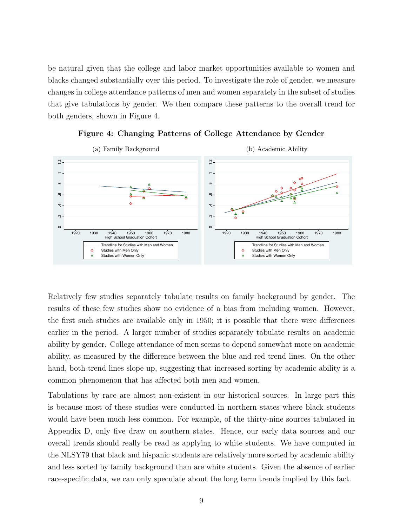be natural given that the college and labor market opportunities available to women and blacks changed substantially over this period. To investigate the role of gender, we measure changes in college attendance patterns of men and women separately in the subset of studies that give tabulations by gender. We then compare these patterns to the overall trend for both genders, shown in Figure [4.](#page-8-0)

<span id="page-8-0"></span>

Figure 4: Changing Patterns of College Attendance by Gender

Relatively few studies separately tabulate results on family background by gender. The results of these few studies show no evidence of a bias from including women. However, the first such studies are available only in 1950; it is possible that there were differences earlier in the period. A larger number of studies separately tabulate results on academic ability by gender. College attendance of men seems to depend somewhat more on academic ability, as measured by the difference between the blue and red trend lines. On the other hand, both trend lines slope up, suggesting that increased sorting by academic ability is a common phenomenon that has affected both men and women.

Tabulations by race are almost non-existent in our historical sources. In large part this is because most of these studies were conducted in northern states where black students would have been much less common. For example, of the thirty-nine sources tabulated in Appendix D, only five draw on southern states. Hence, our early data sources and our overall trends should really be read as applying to white students. We have computed in the NLSY79 that black and hispanic students are relatively more sorted by academic ability and less sorted by family background than are white students. Given the absence of earlier race-specific data, we can only speculate about the long term trends implied by this fact.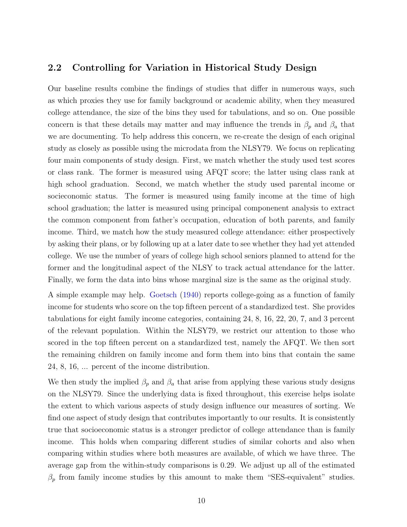## 2.2 Controlling for Variation in Historical Study Design

Our baseline results combine the findings of studies that differ in numerous ways, such as which proxies they use for family background or academic ability, when they measured college attendance, the size of the bins they used for tabulations, and so on. One possible concern is that these details may matter and may influence the trends in  $\beta_p$  and  $\beta_a$  that we are documenting. To help address this concern, we re-create the design of each original study as closely as possible using the microdata from the NLSY79. We focus on replicating four main components of study design. First, we match whether the study used test scores or class rank. The former is measured using AFQT score; the latter using class rank at high school graduation. Second, we match whether the study used parental income or socieconomic status. The former is measured using family income at the time of high school graduation; the latter is measured using principal componenent analysis to extract the common component from father's occupation, education of both parents, and family income. Third, we match how the study measured college attendance: either prospectively by asking their plans, or by following up at a later date to see whether they had yet attended college. We use the number of years of college high school seniors planned to attend for the former and the longitudinal aspect of the NLSY to track actual attendance for the latter. Finally, we form the data into bins whose marginal size is the same as the original study.

A simple example may help. [Goetsch](#page-29-3) [\(1940\)](#page-29-3) reports college-going as a function of family income for students who score on the top fifteen percent of a standardized test. She provides tabulations for eight family income categories, containing 24, 8, 16, 22, 20, 7, and 3 percent of the relevant population. Within the NLSY79, we restrict our attention to those who scored in the top fifteen percent on a standardized test, namely the AFQT. We then sort the remaining children on family income and form them into bins that contain the same 24, 8, 16, ... percent of the income distribution.

We then study the implied  $\beta_p$  and  $\beta_a$  that arise from applying these various study designs on the NLSY79. Since the underlying data is fixed throughout, this exercise helps isolate the extent to which various aspects of study design influence our measures of sorting. We find one aspect of study design that contributes importantly to our results. It is consistently true that socioeconomic status is a stronger predictor of college attendance than is family income. This holds when comparing different studies of similar cohorts and also when comparing within studies where both measures are available, of which we have three. The average gap from the within-study comparisons is 0.29. We adjust up all of the estimated  $\beta_p$  from family income studies by this amount to make them "SES-equivalent" studies.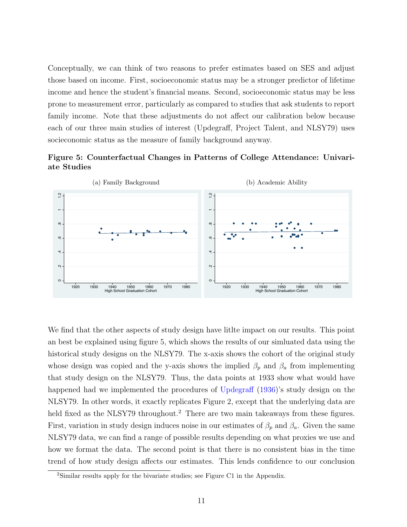Conceptually, we can think of two reasons to prefer estimates based on SES and adjust those based on income. First, socioeconomic status may be a stronger predictor of lifetime income and hence the student's financial means. Second, socioeconomic status may be less prone to measurement error, particularly as compared to studies that ask students to report family income. Note that these adjustments do not affect our calibration below because each of our three main studies of interest (Updegraff, Project Talent, and NLSY79) uses socieconomic status as the measure of family background anyway.

<span id="page-10-0"></span>



We find that the other aspects of study design have little impact on our results. This point an best be explained using figure [5,](#page-10-0) which shows the results of our simluated data using the historical study designs on the NLSY79. The x-axis shows the cohort of the original study whose design was copied and the y-axis shows the implied  $\beta_p$  and  $\beta_a$  from implementing that study design on the NLSY79. Thus, the data points at 1933 show what would have happened had we implemented the procedures of [Updegraff](#page-33-0) [\(1936\)](#page-33-0)'s study design on the NLSY79. In other words, it exactly replicates Figure [2,](#page-6-0) except that the underlying data are held fixed as the NLSY79 throughout.<sup>[2](#page-10-1)</sup> There are two main takeaways from these figures. First, variation in study design induces noise in our estimates of  $\beta_p$  and  $\beta_a$ . Given the same NLSY79 data, we can find a range of possible results depending on what proxies we use and how we format the data. The second point is that there is no consistent bias in the time trend of how study design affects our estimates. This lends confidence to our conclusion

<span id="page-10-1"></span><sup>&</sup>lt;sup>2</sup>Similar results apply for the bivariate studies; see Figure [C1](#page-37-0) in the Appendix.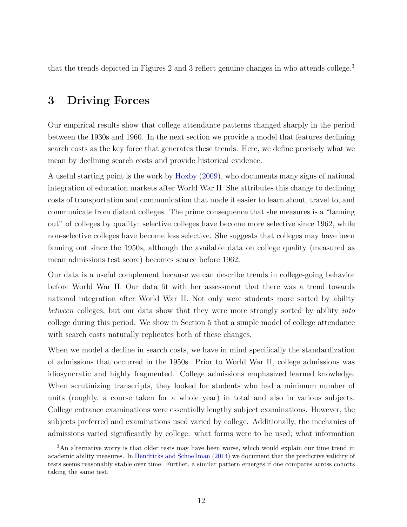that the trends depicted in Figures [2](#page-6-0) and [3](#page-11-0) reflect genuine changes in who attends college.<sup>3</sup>

# 3 Driving Forces

Our empirical results show that college attendance patterns changed sharply in the period between the 1930s and 1960. In the next section we provide a model that features declining search costs as the key force that generates these trends. Here, we define precisely what we mean by declining search costs and provide historical evidence.

A useful starting point is the work by [Hoxby](#page-30-1) [\(2009\)](#page-30-1), who documents many signs of national integration of education markets after World War II. She attributes this change to declining costs of transportation and communication that made it easier to learn about, travel to, and communicate from distant colleges. The prime consequence that she measures is a "fanning out" of colleges by quality: selective colleges have become more selective since 1962, while non-selective colleges have become less selective. She suggests that colleges may have been fanning out since the 1950s, although the available data on college quality (measured as mean admissions test score) becomes scarce before 1962.

Our data is a useful complement because we can describe trends in college-going behavior before World War II. Our data fit with her assessment that there was a trend towards national integration after World War II. Not only were students more sorted by ability between colleges, but our data show that they were more strongly sorted by ability *into* college during this period. We show in Section 5 that a simple model of college attendance with search costs naturally replicates both of these changes.

When we model a decline in search costs, we have in mind specifically the standardization of admissions that occurred in the 1950s. Prior to World War II, college admissions was idiosyncratic and highly fragmented. College admissions emphasized learned knowledge. When scrutinizing transcripts, they looked for students who had a minimum number of units (roughly, a course taken for a whole year) in total and also in various subjects. College entrance examinations were essentially lengthy subject examinations. However, the subjects preferred and examinations used varied by college. Additionally, the mechanics of admissions varied significantly by college: what forms were to be used; what information

<span id="page-11-0"></span><sup>&</sup>lt;sup>3</sup>An alternative worry is that older tests may have been worse, which would explain our time trend in academic ability measures. In [Hendricks and Schoellman](#page-30-2) [\(2014\)](#page-30-2) we document that the predictive validity of tests seems reasonably stable over time. Further, a similar pattern emerges if one compares across cohorts taking the same test.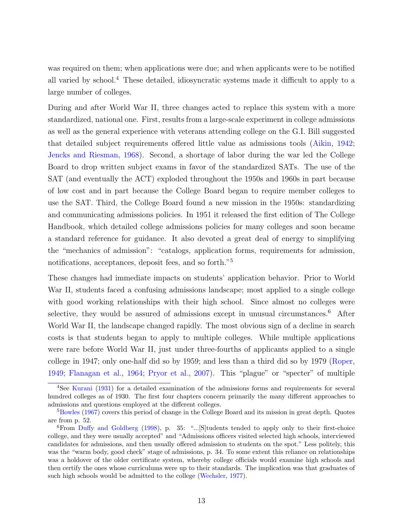was required on them; when applications were due; and when applicants were to be notified all varied by school.<sup>[4](#page-12-0)</sup> These detailed, idiosyncratic systems made it difficult to apply to a large number of colleges.

During and after World War II, three changes acted to replace this system with a more standardized, national one. First, results from a large-scale experiment in college admissions as well as the general experience with veterans attending college on the G.I. Bill suggested that detailed subject requirements offered little value as admissions tools [\(Aikin,](#page-27-3) [1942;](#page-27-3) [Jencks and Riesman,](#page-31-2) [1968\)](#page-31-2). Second, a shortage of labor during the war led the College Board to drop written subject exams in favor of the standardized SATs. The use of the SAT (and eventually the ACT) exploded throughout the 1950s and 1960s in part because of low cost and in part because the College Board began to require member colleges to use the SAT. Third, the College Board found a new mission in the 1950s: standardizing and communicating admissions policies. In 1951 it released the first edition of The College Handbook, which detailed college admissions policies for many colleges and soon became a standard reference for guidance. It also devoted a great deal of energy to simplifying the "mechanics of admission": "catalogs, application forms, requirements for admission, notifications, acceptances, deposit fees, and so forth."[5](#page-12-1)

These changes had immediate impacts on students' application behavior. Prior to World War II, students faced a confusing admissions landscape; most applied to a single college with good working relationships with their high school. Since almost no colleges were selective, they would be assured of admissions except in unusual circumstances.<sup>[6](#page-12-2)</sup> After World War II, the landscape changed rapidly. The most obvious sign of a decline in search costs is that students began to apply to multiple colleges. While multiple applications were rare before World War II, just under three-fourths of applicants applied to a single college in 1947; only one-half did so by 1959; and less than a third did so by 1979 [\(Roper,](#page-33-2) [1949;](#page-33-2) [Flanagan et al.,](#page-29-4) [1964;](#page-29-4) [Pryor et al.,](#page-32-1) [2007\)](#page-32-1). This "plague" or "specter" of multiple

<span id="page-12-0"></span><sup>4</sup>See [Kurani](#page-31-3) [\(1931\)](#page-31-3) for a detailed examination of the admissions forms and requirements for several hundred colleges as of 1930. The first four chapters concern primarily the many different approaches to admissions and questions employed at the different colleges.

<span id="page-12-1"></span><sup>&</sup>lt;sup>5</sup>[Bowles](#page-27-4) [\(1967\)](#page-27-4) covers this period of change in the College Board and its mission in great depth. Quotes are from p. 52.

<span id="page-12-2"></span> ${}^{6}$ From [Duffy and Goldberg](#page-29-5) [\(1998\)](#page-29-5), p. 35: "...[S]tudents tended to apply only to their first-choice college, and they were usually accepted" and "Admissions officers visited selected high schools, interviewed candidates for admissions, and then usually offered admission to students on the spot." Less politely, this was the "warm body, good check" stage of admissions, p. 34. To some extent this reliance on relationships was a holdover of the older certificate system, whereby college officials would examine high schools and then certify the ones whose curriculums were up to their standards. The implication was that graduates of such high schools would be admitted to the college [\(Wechsler,](#page-34-0) [1977\)](#page-34-0).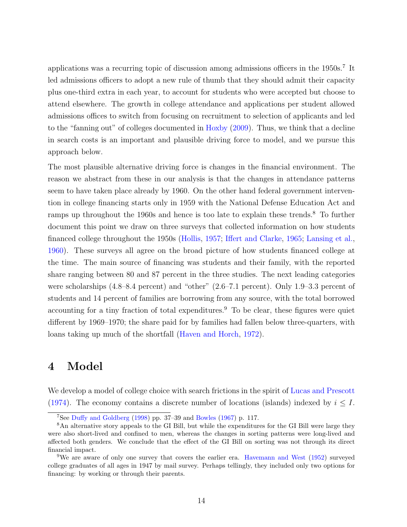applications was a recurring topic of discussion among admissions officers in the 1950s.<sup>[7](#page-13-0)</sup> It led admissions officers to adopt a new rule of thumb that they should admit their capacity plus one-third extra in each year, to account for students who were accepted but choose to attend elsewhere. The growth in college attendance and applications per student allowed admissions offices to switch from focusing on recruitment to selection of applicants and led to the "fanning out" of colleges documented in [Hoxby](#page-30-1) [\(2009\)](#page-30-1). Thus, we think that a decline in search costs is an important and plausible driving force to model, and we pursue this approach below.

The most plausible alternative driving force is changes in the financial environment. The reason we abstract from these in our analysis is that the changes in attendance patterns seem to have taken place already by 1960. On the other hand federal government intervention in college financing starts only in 1959 with the National Defense Education Act and ramps up throughout the 1960s and hence is too late to explain these trends.<sup>[8](#page-13-1)</sup> To further document this point we draw on three surveys that collected information on how students financed college throughout the 1950s [\(Hollis,](#page-30-3) [1957;](#page-30-3) [Iffert and Clarke,](#page-30-4) [1965;](#page-30-4) [Lansing et al.,](#page-31-4) [1960\)](#page-31-4). These surveys all agree on the broad picture of how students financed college at the time. The main source of financing was students and their family, with the reported share ranging between 80 and 87 percent in the three studies. The next leading categories were scholarships (4.8–8.4 percent) and "other" (2.6–7.1 percent). Only 1.9–3.3 percent of students and 14 percent of families are borrowing from any source, with the total borrowed accounting for a tiny fraction of total expenditures.<sup>[9](#page-13-2)</sup> To be clear, these figures were quiet different by 1969–1970; the share paid for by families had fallen below three-quarters, with loans taking up much of the shortfall [\(Haven and Horch,](#page-30-5) [1972\)](#page-30-5).

# 4 Model

We develop a model of college choice with search frictions in the spirit of [Lucas and Prescott](#page-31-5) [\(1974\)](#page-31-5). The economy contains a discrete number of locations (islands) indexed by  $i \leq I$ .

<span id="page-13-1"></span><span id="page-13-0"></span><sup>7</sup>See [Duffy and Goldberg](#page-29-5) [\(1998\)](#page-29-5) pp. 37–39 and [Bowles](#page-27-4) [\(1967\)](#page-27-4) p. 117.

<sup>8</sup>An alternative story appeals to the GI Bill, but while the expenditures for the GI Bill were large they were also short-lived and confined to men, whereas the changes in sorting patterns were long-lived and affected both genders. We conclude that the effect of the GI Bill on sorting was not through its direct financial impact.

<span id="page-13-2"></span><sup>9</sup>We are aware of only one survey that covers the earlier era. [Havemann and West](#page-30-6) [\(1952\)](#page-30-6) surveyed college graduates of all ages in 1947 by mail survey. Perhaps tellingly, they included only two options for financing: by working or through their parents.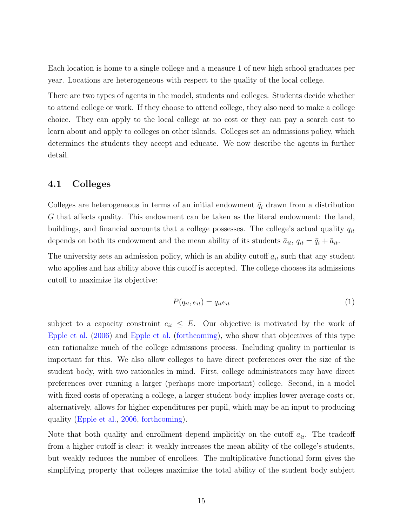Each location is home to a single college and a measure 1 of new high school graduates per year. Locations are heterogeneous with respect to the quality of the local college.

There are two types of agents in the model, students and colleges. Students decide whether to attend college or work. If they choose to attend college, they also need to make a college choice. They can apply to the local college at no cost or they can pay a search cost to learn about and apply to colleges on other islands. Colleges set an admissions policy, which determines the students they accept and educate. We now describe the agents in further detail.

# 4.1 Colleges

Colleges are heterogeneous in terms of an initial endowment  $\bar{q}_i$  drawn from a distribution G that affects quality. This endowment can be taken as the literal endowment: the land, buildings, and financial accounts that a college possesses. The college's actual quality  $q_{it}$ depends on both its endowment and the mean ability of its students  $\bar{a}_{it}$ ,  $q_{it} = \bar{q}_i + \bar{a}_{it}$ .

The university sets an admission policy, which is an ability cutoff  $\underline{a}_{it}$  such that any student who applies and has ability above this cutoff is accepted. The college chooses its admissions cutoff to maximize its objective:

<span id="page-14-0"></span>
$$
P(q_{it}, e_{it}) = q_{it}e_{it} \tag{1}
$$

subject to a capacity constraint  $e_{it} \leq E$ . Our objective is motivated by the work of [Epple et al.](#page-29-6) [\(2006\)](#page-29-6) and [Epple et al.](#page-29-7) [\(forthcoming\)](#page-29-7), who show that objectives of this type can rationalize much of the college admissions process. Including quality in particular is important for this. We also allow colleges to have direct preferences over the size of the student body, with two rationales in mind. First, college administrators may have direct preferences over running a larger (perhaps more important) college. Second, in a model with fixed costs of operating a college, a larger student body implies lower average costs or, alternatively, allows for higher expenditures per pupil, which may be an input to producing quality [\(Epple et al.,](#page-29-6) [2006,](#page-29-6) [forthcoming\)](#page-29-7).

Note that both quality and enrollment depend implicitly on the cutoff  $\underline{a}_{it}$ . The tradeoff from a higher cutoff is clear: it weakly increases the mean ability of the college's students, but weakly reduces the number of enrollees. The multiplicative functional form gives the simplifying property that colleges maximize the total ability of the student body subject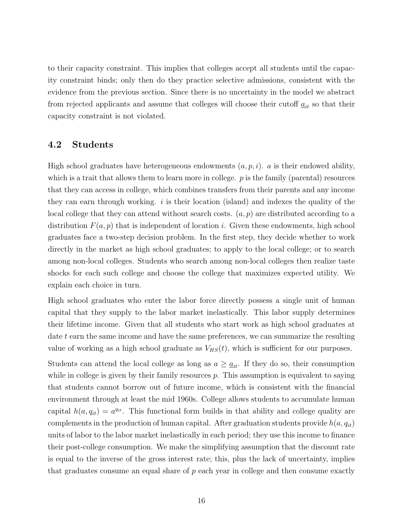to their capacity constraint. This implies that colleges accept all students until the capacity constraint binds; only then do they practice selective admissions, consistent with the evidence from the previous section. Since there is no uncertainty in the model we abstract from rejected applicants and assume that colleges will choose their cutoff  $\underline{a}_{it}$  so that their capacity constraint is not violated.

# 4.2 Students

High school graduates have heterogeneous endowments  $(a, p, i)$ . a is their endowed ability, which is a trait that allows them to learn more in college.  $p$  is the family (parental) resources that they can access in college, which combines transfers from their parents and any income they can earn through working.  $i$  is their location (island) and indexes the quality of the local college that they can attend without search costs.  $(a, p)$  are distributed according to a distribution  $F(a, p)$  that is independent of location i. Given these endowments, high school graduates face a two-step decision problem. In the first step, they decide whether to work directly in the market as high school graduates; to apply to the local college; or to search among non-local colleges. Students who search among non-local colleges then realize taste shocks for each such college and choose the college that maximizes expected utility. We explain each choice in turn.

High school graduates who enter the labor force directly possess a single unit of human capital that they supply to the labor market inelastically. This labor supply determines their lifetime income. Given that all students who start work as high school graduates at date t earn the same income and have the same preferences, we can summarize the resulting value of working as a high school graduate as  $V_{HS}(t)$ , which is sufficient for our purposes.

Students can attend the local college as long as  $a \geq \underline{a}_{it}$ . If they do so, their consumption while in college is given by their family resources  $p$ . This assumption is equivalent to saying that students cannot borrow out of future income, which is consistent with the financial environment through at least the mid 1960s. College allows students to accumulate human capital  $h(a, q_{it}) = a^{q_{it}}$ . This functional form builds in that ability and college quality are complements in the production of human capital. After graduation students provide  $h(a, q_{it})$ units of labor to the labor market inelastically in each period; they use this income to finance their post-college consumption. We make the simplifying assumption that the discount rate is equal to the inverse of the gross interest rate; this, plus the lack of uncertainty, implies that graduates consume an equal share of  $p$  each year in college and then consume exactly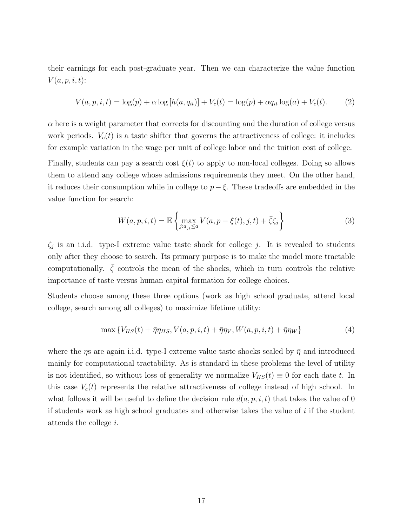their earnings for each post-graduate year. Then we can characterize the value function  $V(a, p, i, t)$ :

$$
V(a, p, i, t) = \log(p) + \alpha \log[h(a, q_{it})] + V_c(t) = \log(p) + \alpha q_{it} \log(a) + V_c(t).
$$
 (2)

 $\alpha$  here is a weight parameter that corrects for discounting and the duration of college versus work periods.  $V_c(t)$  is a taste shifter that governs the attractiveness of college: it includes for example variation in the wage per unit of college labor and the tuition cost of college.

Finally, students can pay a search cost  $\xi(t)$  to apply to non-local colleges. Doing so allows them to attend any college whose admissions requirements they meet. On the other hand, it reduces their consumption while in college to  $p - \xi$ . These tradeoffs are embedded in the value function for search:

<span id="page-16-0"></span>
$$
W(a, p, i, t) = \mathbb{E}\left\{\max_{j: a_{jt} \le a} V(a, p - \xi(t), j, t) + \bar{\zeta}\zeta_j\right\}
$$
(3)

 $\zeta_j$  is an i.i.d. type-I extreme value taste shock for college j. It is revealed to students only after they choose to search. Its primary purpose is to make the model more tractable computationally.  $\overline{\zeta}$  controls the mean of the shocks, which in turn controls the relative importance of taste versus human capital formation for college choices.

Students choose among these three options (work as high school graduate, attend local college, search among all colleges) to maximize lifetime utility:

<span id="page-16-1"></span>
$$
\max \left\{ V_{HS}(t) + \bar{\eta}\eta_{HS}, V(a, p, i, t) + \bar{\eta}\eta_V, W(a, p, i, t) + \bar{\eta}\eta_W \right\} \tag{4}
$$

where the  $\eta s$  are again i.i.d. type-I extreme value taste shocks scaled by  $\bar{\eta}$  and introduced mainly for computational tractability. As is standard in these problems the level of utility is not identified, so without loss of generality we normalize  $V_{HS}(t) \equiv 0$  for each date t. In this case  $V_c(t)$  represents the relative attractiveness of college instead of high school. In what follows it will be useful to define the decision rule  $d(a, p, i, t)$  that takes the value of 0 if students work as high school graduates and otherwise takes the value of i if the student attends the college i.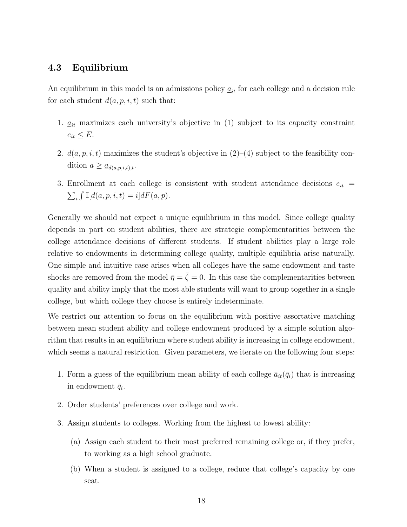# 4.3 Equilibrium

An equilibrium in this model is an admissions policy  $\underline{a}_{it}$  for each college and a decision rule for each student  $d(a, p, i, t)$  such that:

- 1.  $\underline{a}_{it}$  maximizes each university's objective in [\(1\)](#page-14-0) subject to its capacity constraint  $e_{it} \leq E$ .
- 2.  $d(a, p, i, t)$  maximizes the student's objective in  $(2)$ – $(4)$  subject to the feasibility condition  $a \geq \underline{a}_{d(a,p,i,t),t}$ .
- 3. Enrollment at each college is consistent with student attendance decisions  $e_{it}$  =  $\sum_i \int \mathbb{I}[d(a, p, i, t) = i] dF(a, p).$

Generally we should not expect a unique equilibrium in this model. Since college quality depends in part on student abilities, there are strategic complementarities between the college attendance decisions of different students. If student abilities play a large role relative to endowments in determining college quality, multiple equilibria arise naturally. One simple and intuitive case arises when all colleges have the same endowment and taste shocks are removed from the model  $\bar{\eta} = \bar{\zeta} = 0$ . In this case the complementarities between quality and ability imply that the most able students will want to group together in a single college, but which college they choose is entirely indeterminate.

We restrict our attention to focus on the equilibrium with positive assortative matching between mean student ability and college endowment produced by a simple solution algorithm that results in an equilibrium where student ability is increasing in college endowment, which seems a natural restriction. Given parameters, we iterate on the following four steps:

- 1. Form a guess of the equilibrium mean ability of each college  $\bar{a}_{it}(\bar{q}_i)$  that is increasing in endowment  $\bar{q}_i$ .
- 2. Order students' preferences over college and work.
- 3. Assign students to colleges. Working from the highest to lowest ability:
	- (a) Assign each student to their most preferred remaining college or, if they prefer, to working as a high school graduate.
	- (b) When a student is assigned to a college, reduce that college's capacity by one seat.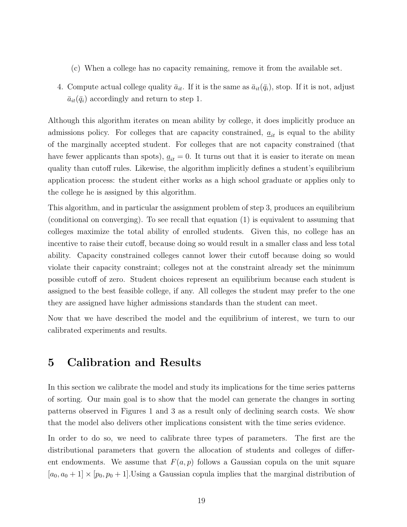- (c) When a college has no capacity remaining, remove it from the available set.
- 4. Compute actual college quality  $\bar{a}_{it}$ . If it is the same as  $\bar{a}_{it}(\bar{q}_i)$ , stop. If it is not, adjust  $\bar{a}_{it}(\bar{q}_i)$  accordingly and return to step 1.

Although this algorithm iterates on mean ability by college, it does implicitly produce an admissions policy. For colleges that are capacity constrained,  $\underline{a}_{it}$  is equal to the ability of the marginally accepted student. For colleges that are not capacity constrained (that have fewer applicants than spots),  $\underline{a}_{it} = 0$ . It turns out that it is easier to iterate on mean quality than cutoff rules. Likewise, the algorithm implicitly defines a student's equilibrium application process: the student either works as a high school graduate or applies only to the college he is assigned by this algorithm.

This algorithm, and in particular the assignment problem of step 3, produces an equilibrium (conditional on converging). To see recall that equation [\(1\)](#page-14-0) is equivalent to assuming that colleges maximize the total ability of enrolled students. Given this, no college has an incentive to raise their cutoff, because doing so would result in a smaller class and less total ability. Capacity constrained colleges cannot lower their cutoff because doing so would violate their capacity constraint; colleges not at the constraint already set the minimum possible cutoff of zero. Student choices represent an equilibrium because each student is assigned to the best feasible college, if any. All colleges the student may prefer to the one they are assigned have higher admissions standards than the student can meet.

Now that we have described the model and the equilibrium of interest, we turn to our calibrated experiments and results.

# 5 Calibration and Results

In this section we calibrate the model and study its implications for the time series patterns of sorting. Our main goal is to show that the model can generate the changes in sorting patterns observed in Figures [1](#page-2-2) and [3](#page-7-0) as a result only of declining search costs. We show that the model also delivers other implications consistent with the time series evidence.

In order to do so, we need to calibrate three types of parameters. The first are the distributional parameters that govern the allocation of students and colleges of different endowments. We assume that  $F(a, p)$  follows a Gaussian copula on the unit square  $[a_0, a_0 + 1] \times [p_0, p_0 + 1]$ . Using a Gaussian copula implies that the marginal distribution of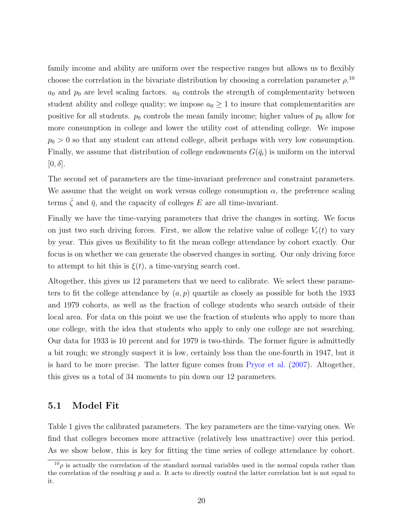family income and ability are uniform over the respective ranges but allows us to flexibly choose the correlation in the bivariate distribution by choosing a correlation parameter  $\rho$ .<sup>[10](#page-19-0)</sup>  $a_0$  and  $p_0$  are level scaling factors.  $a_0$  controls the strength of complementarity between student ability and college quality; we impose  $a_0 \geq 1$  to insure that complementarities are positive for all students.  $p_0$  controls the mean family income; higher values of  $p_0$  allow for more consumption in college and lower the utility cost of attending college. We impose  $p_0 > 0$  so that any student can attend college, albeit perhaps with very low consumption. Finally, we assume that distribution of college endowments  $G(\bar{q}_i)$  is uniform on the interval  $[0, \delta]$ .

The second set of parameters are the time-invariant preference and constraint parameters. We assume that the weight on work versus college consumption  $\alpha$ , the preference scaling terms  $\bar{\zeta}$  and  $\bar{\eta}$ , and the capacity of colleges E are all time-invariant.

Finally we have the time-varying parameters that drive the changes in sorting. We focus on just two such driving forces. First, we allow the relative value of college  $V_c(t)$  to vary by year. This gives us flexibility to fit the mean college attendance by cohort exactly. Our focus is on whether we can generate the observed changes in sorting. Our only driving force to attempt to hit this is  $\xi(t)$ , a time-varying search cost.

Altogether, this gives us 12 parameters that we need to calibrate. We select these parameters to fit the college attendance by  $(a, p)$  quartile as closely as possible for both the 1933 and 1979 cohorts, as well as the fraction of college students who search outside of their local area. For data on this point we use the fraction of students who apply to more than one college, with the idea that students who apply to only one college are not searching. Our data for 1933 is 10 percent and for 1979 is two-thirds. The former figure is admittedly a bit rough; we strongly suspect it is low, certainly less than the one-fourth in 1947, but it is hard to be more precise. The latter figure comes from [Pryor et al.](#page-32-1) [\(2007\)](#page-32-1). Altogether, this gives us a total of 34 moments to pin down our 12 parameters.

### 5.1 Model Fit

Table [1](#page-20-0) gives the calibrated parameters. The key parameters are the time-varying ones. We find that colleges becomes more attractive (relatively less unattractive) over this period. As we show below, this is key for fitting the time series of college attendance by cohort.

<span id="page-19-0"></span> $10\rho$  is actually the correlation of the standard normal variables used in the normal copula rather than the correlation of the resulting  $p$  and  $a$ . It acts to directly control the latter correlation but is not equal to it.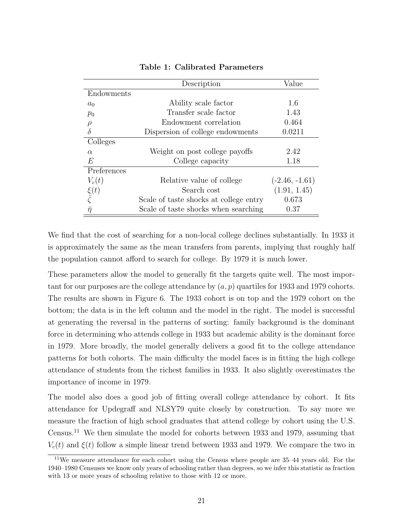<span id="page-20-0"></span>

|                                   | Description                            | Value            |
|-----------------------------------|----------------------------------------|------------------|
| Endowments                        |                                        |                  |
| $a_0$                             | Ability scale factor                   | 1.6              |
| $p_0$                             | Transfer scale factor                  | 1.43             |
| $\rho$                            | Endowment correlation                  | 0.464            |
| $\delta$                          | Dispersion of college endowments       | 0.0211           |
| Colleges                          |                                        |                  |
| $\alpha$                          | Weight on post college payoffs         | 2.42             |
| E                                 | College capacity                       | 1.18             |
| Preferences                       |                                        |                  |
| $V_c(t)$                          | Relative value of college              | $(-2.46, -1.61)$ |
|                                   | Search cost                            | (1.91, 1.45)     |
| $\frac{\xi(t)}{\overline{\zeta}}$ | Scale of taste shocks at college entry | 0.673            |
| $\bar{\eta}$                      | Scale of taste shocks when searching   | 0.37             |

Table 1: Calibrated Parameters

We find that the cost of searching for a non-local college declines substantially. In 1933 it is approximately the same as the mean transfers from parents, implying that roughly half the population cannot afford to search for college. By 1979 it is much lower.

These parameters allow the model to generally fit the targets quite well. The most important for our purposes are the college attendance by  $(a, p)$  quartiles for 1933 and 1979 cohorts. The results are shown in Figure [6.](#page-21-0) The 1933 cohort is on top and the 1979 cohort on the bottom; the data is in the left column and the model in the right. The model is successful at generating the reversal in the patterns of sorting: family background is the dominant force in determining who attends college in 1933 but academic ability is the dominant force in 1979. More broadly, the model generally delivers a good fit to the college attendance patterns for both cohorts. The main difficulty the model faces is in fitting the high college attendance of students from the richest families in 1933. It also slightly overestimates the importance of income in 1979.

The model also does a good job of fitting overall college attendance by cohort. It fits attendance for Updegraff and NLSY79 quite closely by construction. To say more we measure the fraction of high school graduates that attend college by cohort using the U.S. Census.[11](#page-20-1) We then simulate the model for cohorts between 1933 and 1979, assuming that  $V_c(t)$  and  $\xi(t)$  follow a simple linear trend between 1933 and 1979. We compare the two in

<span id="page-20-1"></span> $11$ We measure attendance for each cohort using the Census where people are 35–44 years old. For the 1940–1980 Censuses we know only years of schooling rather than degrees, so we infer this statistic as fraction with 13 or more years of schooling relative to those with 12 or more.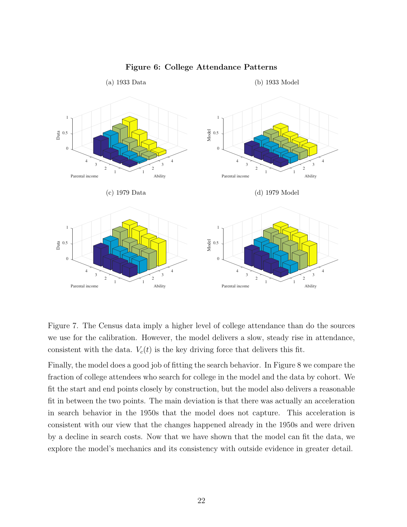<span id="page-21-0"></span>

#### Figure 6: College Attendance Patterns

Figure [7.](#page-22-0) The Census data imply a higher level of college attendance than do the sources we use for the calibration. However, the model delivers a slow, steady rise in attendance, consistent with the data.  $V_c(t)$  is the key driving force that delivers this fit.

Finally, the model does a good job of fitting the search behavior. In Figure [8](#page-22-1) we compare the fraction of college attendees who search for college in the model and the data by cohort. We fit the start and end points closely by construction, but the model also delivers a reasonable fit in between the two points. The main deviation is that there was actually an acceleration in search behavior in the 1950s that the model does not capture. This acceleration is consistent with our view that the changes happened already in the 1950s and were driven by a decline in search costs. Now that we have shown that the model can fit the data, we explore the model's mechanics and its consistency with outside evidence in greater detail.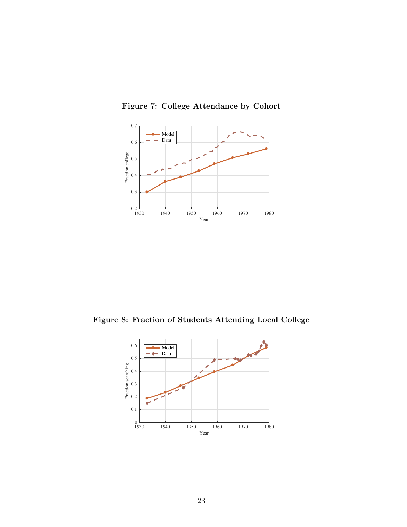

<span id="page-22-0"></span>Figure 7: College Attendance by Cohort

<span id="page-22-1"></span>Figure 8: Fraction of Students Attending Local College

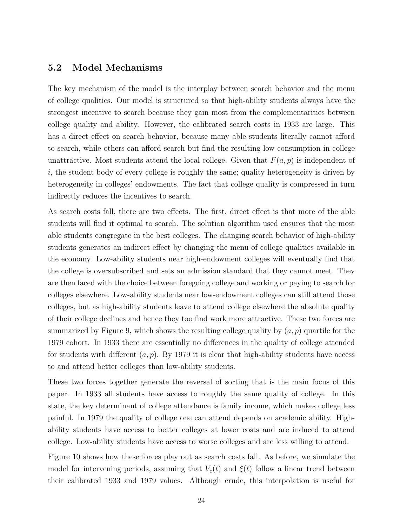## 5.2 Model Mechanisms

The key mechanism of the model is the interplay between search behavior and the menu of college qualities. Our model is structured so that high-ability students always have the strongest incentive to search because they gain most from the complementarities between college quality and ability. However, the calibrated search costs in 1933 are large. This has a direct effect on search behavior, because many able students literally cannot afford to search, while others can afford search but find the resulting low consumption in college unattractive. Most students attend the local college. Given that  $F(a, p)$  is independent of  $i$ , the student body of every college is roughly the same; quality heterogeneity is driven by heterogeneity in colleges' endowments. The fact that college quality is compressed in turn indirectly reduces the incentives to search.

As search costs fall, there are two effects. The first, direct effect is that more of the able students will find it optimal to search. The solution algorithm used ensures that the most able students congregate in the best colleges. The changing search behavior of high-ability students generates an indirect effect by changing the menu of college qualities available in the economy. Low-ability students near high-endowment colleges will eventually find that the college is oversubscribed and sets an admission standard that they cannot meet. They are then faced with the choice between foregoing college and working or paying to search for colleges elsewhere. Low-ability students near low-endowment colleges can still attend those colleges, but as high-ability students leave to attend college elsewhere the absolute quality of their college declines and hence they too find work more attractive. These two forces are summarized by Figure [9,](#page-24-0) which shows the resulting college quality by  $(a, p)$  quartile for the 1979 cohort. In 1933 there are essentially no differences in the quality of college attended for students with different  $(a, p)$ . By 1979 it is clear that high-ability students have access to and attend better colleges than low-ability students.

These two forces together generate the reversal of sorting that is the main focus of this paper. In 1933 all students have access to roughly the same quality of college. In this state, the key determinant of college attendance is family income, which makes college less painful. In 1979 the quality of college one can attend depends on academic ability. Highability students have access to better colleges at lower costs and are induced to attend college. Low-ability students have access to worse colleges and are less willing to attend.

Figure [10](#page-24-1) shows how these forces play out as search costs fall. As before, we simulate the model for intervening periods, assuming that  $V_c(t)$  and  $\xi(t)$  follow a linear trend between their calibrated 1933 and 1979 values. Although crude, this interpolation is useful for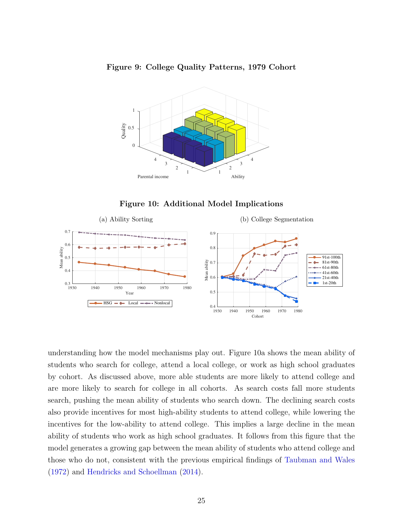<span id="page-24-0"></span>



<span id="page-24-3"></span>Figure 10: Additional Model Implications

<span id="page-24-2"></span><span id="page-24-1"></span>

understanding how the model mechanisms play out. Figure [10a](#page-24-2) shows the mean ability of students who search for college, attend a local college, or work as high school graduates by cohort. As discussed above, more able students are more likely to attend college and are more likely to search for college in all cohorts. As search costs fall more students search, pushing the mean ability of students who search down. The declining search costs also provide incentives for most high-ability students to attend college, while lowering the incentives for the low-ability to attend college. This implies a large decline in the mean ability of students who work as high school graduates. It follows from this figure that the model generates a growing gap between the mean ability of students who attend college and those who do not, consistent with the previous empirical findings of [Taubman and Wales](#page-33-1) [\(1972\)](#page-33-1) and [Hendricks and Schoellman](#page-30-2) [\(2014\)](#page-30-2).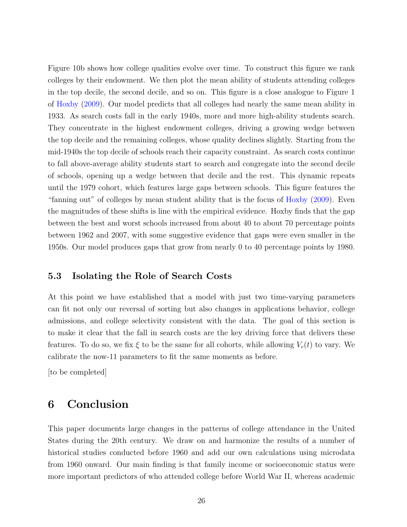Figure [10b](#page-24-3) shows how college qualities evolve over time. To construct this figure we rank colleges by their endowment. We then plot the mean ability of students attending colleges in the top decile, the second decile, and so on. This figure is a close analogue to Figure 1 of [Hoxby](#page-30-1) [\(2009\)](#page-30-1). Our model predicts that all colleges had nearly the same mean ability in 1933. As search costs fall in the early 1940s, more and more high-ability students search. They concentrate in the highest endowment colleges, driving a growing wedge between the top decile and the remaining colleges, whose quality declines slightly. Starting from the mid-1940s the top decile of schools reach their capacity constraint. As search costs continue to fall above-average ability students start to search and congregate into the second decile of schools, opening up a wedge between that decile and the rest. This dynamic repeats until the 1979 cohort, which features large gaps between schools. This figure features the "fanning out" of colleges by mean student ability that is the focus of [Hoxby](#page-30-1) [\(2009\)](#page-30-1). Even the magnitudes of these shifts is line with the empirical evidence. Hoxby finds that the gap between the best and worst schools increased from about 40 to about 70 percentage points between 1962 and 2007, with some suggestive evidence that gaps were even smaller in the 1950s. Our model produces gaps that grow from nearly 0 to 40 percentage points by 1980.

# 5.3 Isolating the Role of Search Costs

At this point we have established that a model with just two time-varying parameters can fit not only our reversal of sorting but also changes in applications behavior, college admissions, and college selectivity consistent with the data. The goal of this section is to make it clear that the fall in search costs are the key driving force that delivers these features. To do so, we fix  $\xi$  to be the same for all cohorts, while allowing  $V_c(t)$  to vary. We calibrate the now-11 parameters to fit the same moments as before.

[to be completed]

# 6 Conclusion

This paper documents large changes in the patterns of college attendance in the United States during the 20th century. We draw on and harmonize the results of a number of historical studies conducted before 1960 and add our own calculations using microdata from 1960 onward. Our main finding is that family income or socioeconomic status were more important predictors of who attended college before World War II, whereas academic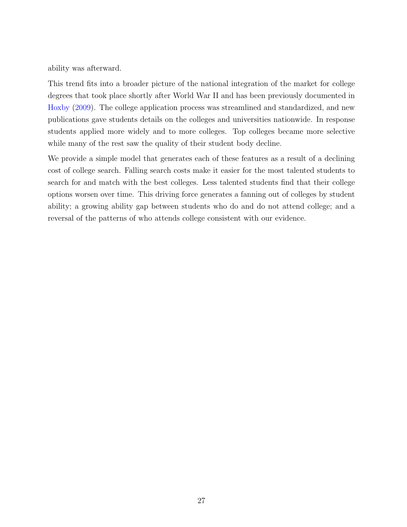ability was afterward.

This trend fits into a broader picture of the national integration of the market for college degrees that took place shortly after World War II and has been previously documented in [Hoxby](#page-30-1) [\(2009\)](#page-30-1). The college application process was streamlined and standardized, and new publications gave students details on the colleges and universities nationwide. In response students applied more widely and to more colleges. Top colleges became more selective while many of the rest saw the quality of their student body decline.

We provide a simple model that generates each of these features as a result of a declining cost of college search. Falling search costs make it easier for the most talented students to search for and match with the best colleges. Less talented students find that their college options worsen over time. This driving force generates a fanning out of colleges by student ability; a growing ability gap between students who do and do not attend college; and a reversal of the patterns of who attends college consistent with our evidence.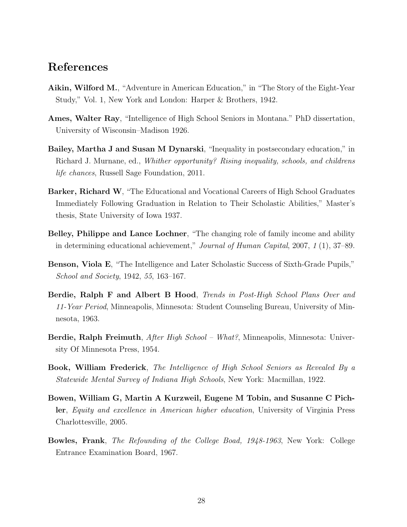# References

- <span id="page-27-3"></span>Aikin, Wilford M., "Adventure in American Education," in "The Story of the Eight-Year Study," Vol. 1, New York and London: Harper & Brothers, 1942.
- <span id="page-27-6"></span>Ames, Walter Ray, "Intelligence of High School Seniors in Montana." PhD dissertation, University of Wisconsin–Madison 1926.
- <span id="page-27-2"></span>Bailey, Martha J and Susan M Dynarski, "Inequality in postsecondary education," in Richard J. Murnane, ed., Whither opportunity? Rising inequality, schools, and childrens life chances, Russell Sage Foundation, 2011.
- <span id="page-27-8"></span>Barker, Richard W, "The Educational and Vocational Careers of High School Graduates Immediately Following Graduation in Relation to Their Scholastic Abilities," Master's thesis, State University of Iowa 1937.
- <span id="page-27-1"></span>Belley, Philippe and Lance Lochner, "The changing role of family income and ability in determining educational achievement," Journal of Human Capital, 2007, 1 (1), 37–89.
- <span id="page-27-7"></span>Benson, Viola E, "The Intelligence and Later Scholastic Success of Sixth-Grade Pupils," School and Society, 1942, 55, 163–167.
- <span id="page-27-10"></span>Berdie, Ralph F and Albert B Hood, Trends in Post-High School Plans Over and 11-Year Period, Minneapolis, Minnesota: Student Counseling Bureau, University of Minnesota, 1963.
- <span id="page-27-9"></span>Berdie, Ralph Freimuth, *After High School – What?*, Minneapolis, Minnesota: University Of Minnesota Press, 1954.
- <span id="page-27-5"></span>Book, William Frederick, The Intelligence of High School Seniors as Revealed By a Statewide Mental Survey of Indiana High Schools, New York: Macmillan, 1922.
- <span id="page-27-0"></span>Bowen, William G, Martin A Kurzweil, Eugene M Tobin, and Susanne C Pichler, Equity and excellence in American higher education, University of Virginia Press Charlottesville, 2005.
- <span id="page-27-4"></span>Bowles, Frank, The Refounding of the College Boad, 1948-1963, New York: College Entrance Examination Board, 1967.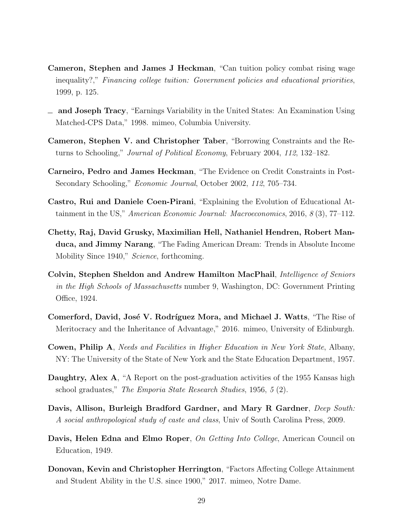- <span id="page-28-1"></span>Cameron, Stephen and James J Heckman, "Can tuition policy combat rising wage inequality?," Financing college tuition: Government policies and educational priorities, 1999, p. 125.
- <span id="page-28-0"></span>and Joseph Tracy, "Earnings Variability in the United States: An Examination Using Matched-CPS Data," 1998. mimeo, Columbia University.
- <span id="page-28-3"></span>Cameron, Stephen V. and Christopher Taber, "Borrowing Constraints and the Returns to Schooling," Journal of Political Economy, February 2004, 112, 132–182.
- <span id="page-28-2"></span>Carneiro, Pedro and James Heckman, "The Evidence on Credit Constraints in Post-Secondary Schooling," Economic Journal, October 2002, 112, 705–734.
- <span id="page-28-5"></span>Castro, Rui and Daniele Coen-Pirani, "Explaining the Evolution of Educational Attainment in the US," American Economic Journal: Macroeconomics, 2016, 8 (3), 77–112.
- <span id="page-28-6"></span>Chetty, Raj, David Grusky, Maximilian Hell, Nathaniel Hendren, Robert Manduca, and Jimmy Narang, "The Fading American Dream: Trends in Absolute Income Mobility Since 1940," Science, forthcoming.
- <span id="page-28-8"></span>Colvin, Stephen Sheldon and Andrew Hamilton MacPhail, Intelligence of Seniors in the High Schools of Massachusetts number 9, Washington, DC: Government Printing Office, 1924.
- <span id="page-28-7"></span>Comerford, David, José V. Rodríguez Mora, and Michael J. Watts, "The Rise of Meritocracy and the Inheritance of Advantage," 2016. mimeo, University of Edinburgh.
- <span id="page-28-12"></span>Cowen, Philip A, Needs and Facilities in Higher Education in New York State, Albany, NY: The University of the State of New York and the State Education Department, 1957.
- <span id="page-28-11"></span>Daughtry, Alex A, "A Report on the post-graduation activities of the 1955 Kansas high school graduates," The Emporia State Research Studies, 1956, 5 (2).
- <span id="page-28-9"></span>Davis, Allison, Burleigh Bradford Gardner, and Mary R Gardner, *Deep South:* A social anthropological study of caste and class, Univ of South Carolina Press, 2009.
- <span id="page-28-10"></span>Davis, Helen Edna and Elmo Roper, On Getting Into College, American Council on Education, 1949.
- <span id="page-28-4"></span>Donovan, Kevin and Christopher Herrington, "Factors Affecting College Attainment and Student Ability in the U.S. since 1900," 2017. mimeo, Notre Dame.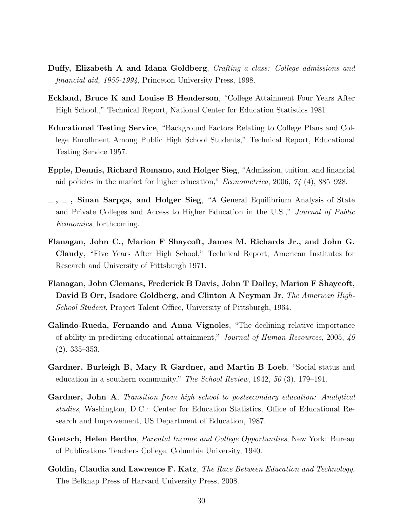- <span id="page-29-5"></span>Duffy, Elizabeth A and Idana Goldberg, Crafting a class: College admissions and financial aid, 1955-1994, Princeton University Press, 1998.
- <span id="page-29-10"></span>Eckland, Bruce K and Louise B Henderson, "College Attainment Four Years After High School.," Technical Report, National Center for Education Statistics 1981.
- <span id="page-29-9"></span>Educational Testing Service, "Background Factors Relating to College Plans and College Enrollment Among Public High School Students," Technical Report, Educational Testing Service 1957.
- <span id="page-29-6"></span>Epple, Dennis, Richard Romano, and Holger Sieg, "Admission, tuition, and financial aid policies in the market for higher education," Econometrica, 2006, 74 (4), 885–928.
- <span id="page-29-7"></span> $\sim$ ,  $\sim$ , Sinan Sarpça, and Holger Sieg, "A General Equilibrium Analysis of State and Private Colleges and Access to Higher Education in the U.S.," Journal of Public Economics, forthcoming.
- <span id="page-29-2"></span>Flanagan, John C., Marion F Shaycoft, James M. Richards Jr., and John G. Claudy, "Five Years After High School," Technical Report, American Institutes for Research and University of Pittsburgh 1971.
- <span id="page-29-4"></span>Flanagan, John Clemans, Frederick B Davis, John T Dailey, Marion F Shaycoft, David B Orr, Isadore Goldberg, and Clinton A Neyman Jr, The American High-School Student, Project Talent Office, University of Pittsburgh, 1964.
- <span id="page-29-0"></span>Galindo-Rueda, Fernando and Anna Vignoles, "The declining relative importance of ability in predicting educational attainment," Journal of Human Resources, 2005, 40 (2), 335–353.
- <span id="page-29-8"></span>Gardner, Burleigh B, Mary R Gardner, and Martin B Loeb, "Social status and education in a southern community," The School Review, 1942, 50 (3), 179–191.
- <span id="page-29-11"></span>Gardner, John A, Transition from high school to postsecondary education: Analytical studies, Washington, D.C.: Center for Education Statistics, Office of Educational Research and Improvement, US Department of Education, 1987.
- <span id="page-29-3"></span>Goetsch, Helen Bertha, *Parental Income and College Opportunities*, New York: Bureau of Publications Teachers College, Columbia University, 1940.
- <span id="page-29-1"></span>Goldin, Claudia and Lawrence F. Katz, The Race Between Education and Technology, The Belknap Press of Harvard University Press, 2008.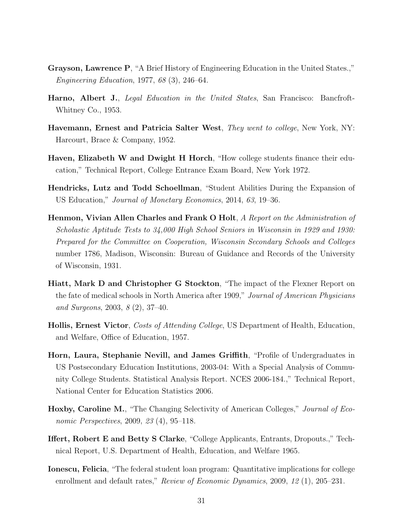- <span id="page-30-7"></span>Grayson, Lawrence P, "A Brief History of Engineering Education in the United States.," Engineering Education, 1977, 68 (3), 246–64.
- <span id="page-30-9"></span>Harno, Albert J., Legal Education in the United States, San Francisco: Bancfroft-Whitney Co., 1953.
- <span id="page-30-6"></span>Havemann, Ernest and Patricia Salter West, They went to college, New York, NY: Harcourt, Brace & Company, 1952.
- <span id="page-30-5"></span>Haven, Elizabeth W and Dwight H Horch, "How college students finance their education," Technical Report, College Entrance Exam Board, New York 1972.
- <span id="page-30-2"></span>Hendricks, Lutz and Todd Schoellman, "Student Abilities During the Expansion of US Education," Journal of Monetary Economics, 2014, 63, 19–36.
- <span id="page-30-11"></span>Henmon, Vivian Allen Charles and Frank O Holt, A Report on the Administration of Scholastic Aptitude Tests to 34,000 High School Seniors in Wisconsin in 1929 and 1930: Prepared for the Committee on Cooperation, Wisconsin Secondary Schools and Colleges number 1786, Madison, Wisconsin: Bureau of Guidance and Records of the University of Wisconsin, 1931.
- <span id="page-30-8"></span>Hiatt, Mark D and Christopher G Stockton, "The impact of the Flexner Report on the fate of medical schools in North America after 1909," Journal of American Physicians and Surgeons, 2003, 8 (2), 37–40.
- <span id="page-30-3"></span>Hollis, Ernest Victor, Costs of Attending College, US Department of Health, Education, and Welfare, Office of Education, 1957.
- <span id="page-30-10"></span>Horn, Laura, Stephanie Nevill, and James Griffith, "Profile of Undergraduates in US Postsecondary Education Institutions, 2003-04: With a Special Analysis of Community College Students. Statistical Analysis Report. NCES 2006-184.," Technical Report, National Center for Education Statistics 2006.
- <span id="page-30-1"></span>Hoxby, Caroline M., "The Changing Selectivity of American Colleges," Journal of Economic Perspectives, 2009, 23 (4), 95–118.
- <span id="page-30-4"></span>Iffert, Robert E and Betty S Clarke, "College Applicants, Entrants, Dropouts.," Technical Report, U.S. Department of Health, Education, and Welfare 1965.
- <span id="page-30-0"></span>Ionescu, Felicia, "The federal student loan program: Quantitative implications for college enrollment and default rates," Review of Economic Dynamics, 2009, 12 (1), 205-231.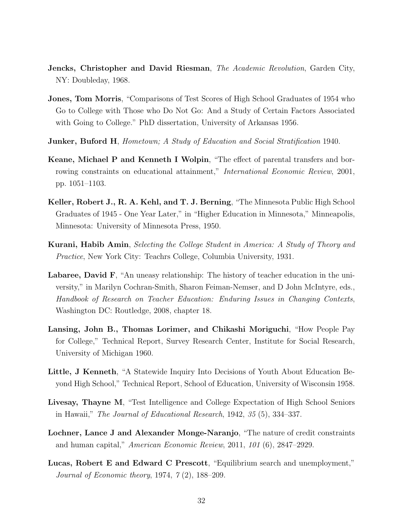- <span id="page-31-2"></span>Jencks, Christopher and David Riesman, The Academic Revolution, Garden City, NY: Doubleday, 1968.
- <span id="page-31-10"></span>Jones, Tom Morris, "Comparisons of Test Scores of High School Graduates of 1954 who Go to College with Those who Do Not Go: And a Study of Certain Factors Associated with Going to College." PhD dissertation, University of Arkansas 1956.
- <span id="page-31-8"></span>**Junker, Buford H**, Hometown; A Study of Education and Social Stratification 1940.
- <span id="page-31-1"></span>Keane, Michael P and Kenneth I Wolpin, "The effect of parental transfers and borrowing constraints on educational attainment," International Economic Review, 2001, pp. 1051–1103.
- <span id="page-31-9"></span>Keller, Robert J., R. A. Kehl, and T. J. Berning, "The Minnesota Public High School Graduates of 1945 - One Year Later," in "Higher Education in Minnesota," Minneapolis, Minnesota: University of Minnesota Press, 1950.
- <span id="page-31-3"></span>Kurani, Habib Amin, Selecting the College Student in America: A Study of Theory and Practice, New York City: Teachrs College, Columbia University, 1931.
- <span id="page-31-6"></span>Labaree, David F, "An uneasy relationship: The history of teacher education in the university," in Marilyn Cochran-Smith, Sharon Feiman-Nemser, and D John McIntyre, eds., Handbook of Research on Teacher Education: Enduring Issues in Changing Contexts, Washington DC: Routledge, 2008, chapter 18.
- <span id="page-31-4"></span>Lansing, John B., Thomas Lorimer, and Chikashi Moriguchi, "How People Pay for College," Technical Report, Survey Research Center, Institute for Social Research, University of Michigan 1960.
- <span id="page-31-11"></span>Little, J Kenneth, "A Statewide Inquiry Into Decisions of Youth About Education Beyond High School," Technical Report, School of Education, University of Wisconsin 1958.
- <span id="page-31-7"></span>Livesay, Thayne M, "Test Intelligence and College Expectation of High School Seniors in Hawaii," The Journal of Educational Research, 1942, 35 (5), 334–337.
- <span id="page-31-0"></span>Lochner, Lance J and Alexander Monge-Naranjo, "The nature of credit constraints and human capital," American Economic Review, 2011, 101 (6), 2847–2929.
- <span id="page-31-5"></span>Lucas, Robert E and Edward C Prescott, "Equilibrium search and unemployment," Journal of Economic theory, 1974, 7 (2), 188–209.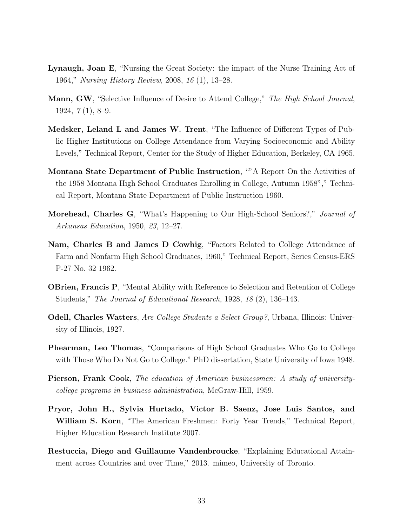- <span id="page-32-3"></span>Lynaugh, Joan E, "Nursing the Great Society: the impact of the Nurse Training Act of 1964," Nursing History Review, 2008, 16 (1), 13–28.
- <span id="page-32-10"></span>Mann, GW, "Selective Influence of Desire to Attend College," The High School Journal, 1924, 7 (1), 8–9.
- <span id="page-32-9"></span>Medsker, Leland L and James W. Trent, "The Influence of Different Types of Public Higher Institutions on College Attendance from Varying Socioeconomic and Ability Levels," Technical Report, Center for the Study of Higher Education, Berkeley, CA 1965.
- <span id="page-32-7"></span>Montana State Department of Public Instruction, ""A Report On the Activities of the 1958 Montana High School Graduates Enrolling in College, Autumn 1958"," Technical Report, Montana State Department of Public Instruction 1960.
- <span id="page-32-6"></span>Morehead, Charles G, "What's Happening to Our High-School Seniors?," Journal of Arkansas Education, 1950, 23, 12–27.
- <span id="page-32-8"></span>Nam, Charles B and James D Cowhig, "Factors Related to College Attendance of Farm and Nonfarm High School Graduates, 1960," Technical Report, Series Census-ERS P-27 No. 32 1962.
- <span id="page-32-4"></span>OBrien, Francis P, "Mental Ability with Reference to Selection and Retention of College Students," The Journal of Educational Research, 1928, 18 (2), 136–143.
- <span id="page-32-11"></span>Odell, Charles Watters, *Are College Students a Select Group?*, Urbana, Illinois: University of Illinois, 1927.
- <span id="page-32-5"></span>Phearman, Leo Thomas, "Comparisons of High School Graduates Who Go to College with Those Who Do Not Go to College." PhD dissertation, State University of Iowa 1948.
- <span id="page-32-2"></span>Pierson, Frank Cook, The education of American businessmen: A study of universitycollege programs in business administration, McGraw-Hill, 1959.
- <span id="page-32-1"></span>Pryor, John H., Sylvia Hurtado, Victor B. Saenz, Jose Luis Santos, and William S. Korn, "The American Freshmen: Forty Year Trends," Technical Report, Higher Education Research Institute 2007.
- <span id="page-32-0"></span>Restuccia, Diego and Guillaume Vandenbroucke, "Explaining Educational Attainment across Countries and over Time," 2013. mimeo, University of Toronto.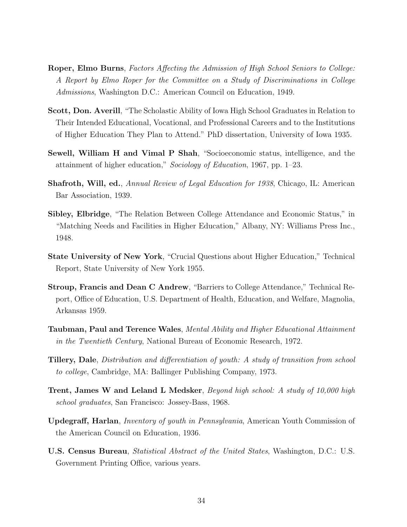- <span id="page-33-2"></span>Roper, Elmo Burns, Factors Affecting the Admission of High School Seniors to College: A Report by Elmo Roper for the Committee on a Study of Discriminations in College Admissions, Washington D.C.: American Council on Education, 1949.
- <span id="page-33-4"></span>Scott, Don. Averill, "The Scholastic Ability of Iowa High School Graduates in Relation to Their Intended Educational, Vocational, and Professional Careers and to the Institutions of Higher Education They Plan to Attend." PhD dissertation, University of Iowa 1935.
- <span id="page-33-8"></span>Sewell, William H and Vimal P Shah, "Socioeconomic status, intelligence, and the attainment of higher education," Sociology of Education, 1967, pp. 1–23.
- <span id="page-33-3"></span>Shafroth, Will, ed., Annual Review of Legal Education for 1938, Chicago, IL: American Bar Association, 1939.
- <span id="page-33-5"></span>Sibley, Elbridge, "The Relation Between College Attendance and Economic Status," in "Matching Needs and Facilities in Higher Education," Albany, NY: Williams Press Inc., 1948.
- <span id="page-33-7"></span>State University of New York, "Crucial Questions about Higher Education," Technical Report, State University of New York 1955.
- <span id="page-33-9"></span>Stroup, Francis and Dean C Andrew, "Barriers to College Attendance," Technical Report, Office of Education, U.S. Department of Health, Education, and Welfare, Magnolia, Arkansas 1959.
- <span id="page-33-1"></span>Taubman, Paul and Terence Wales, Mental Ability and Higher Educational Attainment in the Twentieth Century, National Bureau of Economic Research, 1972.
- <span id="page-33-11"></span>Tillery, Dale, Distribution and differentiation of youth: A study of transition from school to college, Cambridge, MA: Ballinger Publishing Company, 1973.
- <span id="page-33-10"></span>Trent, James W and Leland L Medsker, Beyond high school: A study of 10,000 high school graduates, San Francisco: Jossey-Bass, 1968.
- <span id="page-33-0"></span>Updegraff, Harlan, Inventory of youth in Pennsylvania, American Youth Commission of the American Council on Education, 1936.
- <span id="page-33-6"></span>U.S. Census Bureau, Statistical Abstract of the United States, Washington, D.C.: U.S. Government Printing Office, various years.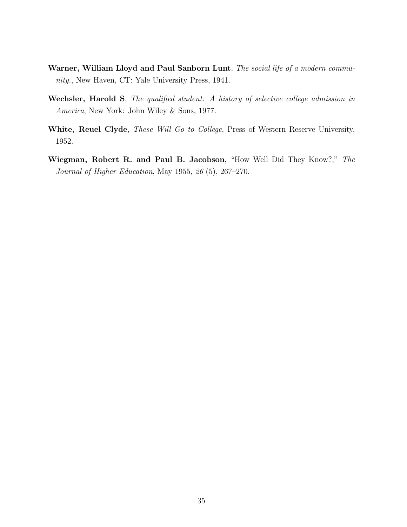- <span id="page-34-1"></span>Warner, William Lloyd and Paul Sanborn Lunt, The social life of a modern community., New Haven, CT: Yale University Press, 1941.
- <span id="page-34-0"></span>Wechsler, Harold S, The qualified student: A history of selective college admission in America, New York: John Wiley & Sons, 1977.
- <span id="page-34-2"></span>White, Reuel Clyde, These Will Go to College, Press of Western Reserve University, 1952.
- <span id="page-34-3"></span>Wiegman, Robert R. and Paul B. Jacobson, "How Well Did They Know?," The Journal of Higher Education, May 1955, 26 (5), 267–270.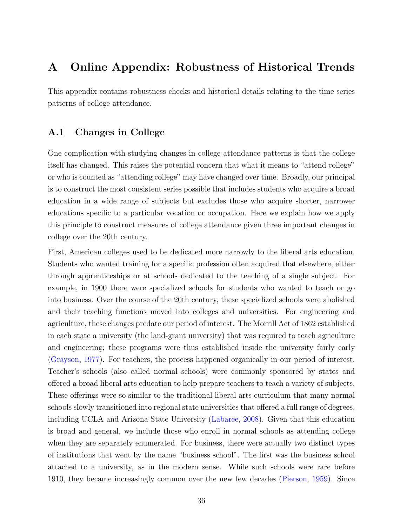# A Online Appendix: Robustness of Historical Trends

This appendix contains robustness checks and historical details relating to the time series patterns of college attendance.

# A.1 Changes in College

One complication with studying changes in college attendance patterns is that the college itself has changed. This raises the potential concern that what it means to "attend college" or who is counted as "attending college" may have changed over time. Broadly, our principal is to construct the most consistent series possible that includes students who acquire a broad education in a wide range of subjects but excludes those who acquire shorter, narrower educations specific to a particular vocation or occupation. Here we explain how we apply this principle to construct measures of college attendance given three important changes in college over the 20th century.

First, American colleges used to be dedicated more narrowly to the liberal arts education. Students who wanted training for a specific profession often acquired that elsewhere, either through apprenticeships or at schools dedicated to the teaching of a single subject. For example, in 1900 there were specialized schools for students who wanted to teach or go into business. Over the course of the 20th century, these specialized schools were abolished and their teaching functions moved into colleges and universities. For engineering and agriculture, these changes predate our period of interest. The Morrill Act of 1862 established in each state a university (the land-grant university) that was required to teach agriculture and engineering; these programs were thus established inside the university fairly early [\(Grayson,](#page-30-7) [1977\)](#page-30-7). For teachers, the process happened organically in our period of interest. Teacher's schools (also called normal schools) were commonly sponsored by states and offered a broad liberal arts education to help prepare teachers to teach a variety of subjects. These offerings were so similar to the traditional liberal arts curriculum that many normal schools slowly transitioned into regional state universities that offered a full range of degrees, including UCLA and Arizona State University [\(Labaree,](#page-31-6) [2008\)](#page-31-6). Given that this education is broad and general, we include those who enroll in normal schools as attending college when they are separately enumerated. For business, there were actually two distinct types of institutions that went by the name "business school". The first was the business school attached to a university, as in the modern sense. While such schools were rare before 1910, they became increasingly common over the new few decades [\(Pierson,](#page-32-2) [1959\)](#page-32-2). Since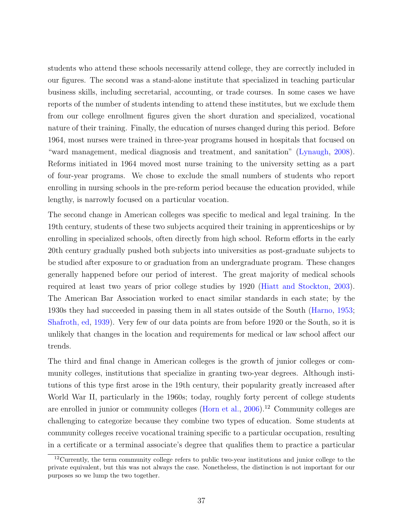students who attend these schools necessarily attend college, they are correctly included in our figures. The second was a stand-alone institute that specialized in teaching particular business skills, including secretarial, accounting, or trade courses. In some cases we have reports of the number of students intending to attend these institutes, but we exclude them from our college enrollment figures given the short duration and specialized, vocational nature of their training. Finally, the education of nurses changed during this period. Before 1964, most nurses were trained in three-year programs housed in hospitals that focused on "ward management, medical diagnosis and treatment, and sanitation" [\(Lynaugh,](#page-32-3) [2008\)](#page-32-3). Reforms initiated in 1964 moved most nurse training to the university setting as a part of four-year programs. We chose to exclude the small numbers of students who report enrolling in nursing schools in the pre-reform period because the education provided, while lengthy, is narrowly focused on a particular vocation.

The second change in American colleges was specific to medical and legal training. In the 19th century, students of these two subjects acquired their training in apprenticeships or by enrolling in specialized schools, often directly from high school. Reform efforts in the early 20th century gradually pushed both subjects into universities as post-graduate subjects to be studied after exposure to or graduation from an undergraduate program. These changes generally happened before our period of interest. The great majority of medical schools required at least two years of prior college studies by 1920 [\(Hiatt and Stockton,](#page-30-8) [2003\)](#page-30-8). The American Bar Association worked to enact similar standards in each state; by the 1930s they had succeeded in passing them in all states outside of the South [\(Harno,](#page-30-9) [1953;](#page-30-9) [Shafroth, ed,](#page-33-3) [1939\)](#page-33-3). Very few of our data points are from before 1920 or the South, so it is unlikely that changes in the location and requirements for medical or law school affect our trends.

The third and final change in American colleges is the growth of junior colleges or community colleges, institutions that specialize in granting two-year degrees. Although institutions of this type first arose in the 19th century, their popularity greatly increased after World War II, particularly in the 1960s; today, roughly forty percent of college students are enrolled in junior or community colleges [\(Horn et al.,](#page-30-10)  $2006$ ).<sup>[12](#page-36-0)</sup> Community colleges are challenging to categorize because they combine two types of education. Some students at community colleges receive vocational training specific to a particular occupation, resulting in a certificate or a terminal associate's degree that qualifies them to practice a particular

<span id="page-36-0"></span><sup>&</sup>lt;sup>12</sup>Currently, the term community college refers to public two-year institutions and junior college to the private equivalent, but this was not always the case. Nonetheless, the distinction is not important for our purposes so we lump the two together.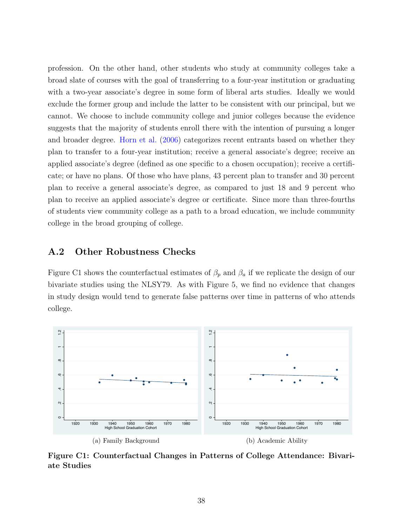profession. On the other hand, other students who study at community colleges take a broad slate of courses with the goal of transferring to a four-year institution or graduating with a two-year associate's degree in some form of liberal arts studies. Ideally we would exclude the former group and include the latter to be consistent with our principal, but we cannot. We choose to include community college and junior colleges because the evidence suggests that the majority of students enroll there with the intention of pursuing a longer and broader degree. [Horn et al.](#page-30-10) [\(2006\)](#page-30-10) categorizes recent entrants based on whether they plan to transfer to a four-year institution; receive a general associate's degree; receive an applied associate's degree (defined as one specific to a chosen occupation); receive a certificate; or have no plans. Of those who have plans, 43 percent plan to transfer and 30 percent plan to receive a general associate's degree, as compared to just 18 and 9 percent who plan to receive an applied associate's degree or certificate. Since more than three-fourths of students view community college as a path to a broad education, we include community college in the broad grouping of college.

# A.2 Other Robustness Checks

Figure [C1](#page-37-0) shows the counterfactual estimates of  $\beta_p$  and  $\beta_a$  if we replicate the design of our bivariate studies using the NLSY79. As with Figure [5,](#page-10-0) we find no evidence that changes in study design would tend to generate false patterns over time in patterns of who attends college.

<span id="page-37-0"></span>

Figure C1: Counterfactual Changes in Patterns of College Attendance: Bivariate Studies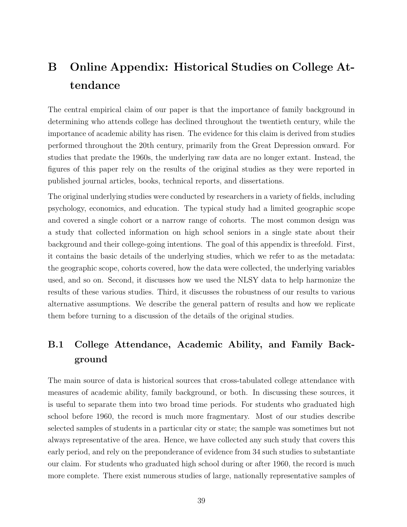# B Online Appendix: Historical Studies on College Attendance

The central empirical claim of our paper is that the importance of family background in determining who attends college has declined throughout the twentieth century, while the importance of academic ability has risen. The evidence for this claim is derived from studies performed throughout the 20th century, primarily from the Great Depression onward. For studies that predate the 1960s, the underlying raw data are no longer extant. Instead, the figures of this paper rely on the results of the original studies as they were reported in published journal articles, books, technical reports, and dissertations.

The original underlying studies were conducted by researchers in a variety of fields, including psychology, economics, and education. The typical study had a limited geographic scope and covered a single cohort or a narrow range of cohorts. The most common design was a study that collected information on high school seniors in a single state about their background and their college-going intentions. The goal of this appendix is threefold. First, it contains the basic details of the underlying studies, which we refer to as the metadata: the geographic scope, cohorts covered, how the data were collected, the underlying variables used, and so on. Second, it discusses how we used the NLSY data to help harmonize the results of these various studies. Third, it discusses the robustness of our results to various alternative assumptions. We describe the general pattern of results and how we replicate them before turning to a discussion of the details of the original studies.

# B.1 College Attendance, Academic Ability, and Family Background

The main source of data is historical sources that cross-tabulated college attendance with measures of academic ability, family background, or both. In discussing these sources, it is useful to separate them into two broad time periods. For students who graduated high school before 1960, the record is much more fragmentary. Most of our studies describe selected samples of students in a particular city or state; the sample was sometimes but not always representative of the area. Hence, we have collected any such study that covers this early period, and rely on the preponderance of evidence from 34 such studies to substantiate our claim. For students who graduated high school during or after 1960, the record is much more complete. There exist numerous studies of large, nationally representative samples of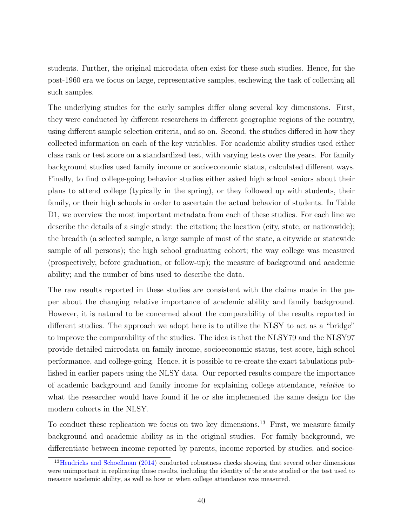students. Further, the original microdata often exist for these such studies. Hence, for the post-1960 era we focus on large, representative samples, eschewing the task of collecting all such samples.

The underlying studies for the early samples differ along several key dimensions. First, they were conducted by different researchers in different geographic regions of the country, using different sample selection criteria, and so on. Second, the studies differed in how they collected information on each of the key variables. For academic ability studies used either class rank or test score on a standardized test, with varying tests over the years. For family background studies used family income or socioeconomic status, calculated different ways. Finally, to find college-going behavior studies either asked high school seniors about their plans to attend college (typically in the spring), or they followed up with students, their family, or their high schools in order to ascertain the actual behavior of students. In Table [D1,](#page-54-0) we overview the most important metadata from each of these studies. For each line we describe the details of a single study: the citation; the location (city, state, or nationwide); the breadth (a selected sample, a large sample of most of the state, a citywide or statewide sample of all persons); the high school graduating cohort; the way college was measured (prospectively, before graduation, or follow-up); the measure of background and academic ability; and the number of bins used to describe the data.

The raw results reported in these studies are consistent with the claims made in the paper about the changing relative importance of academic ability and family background. However, it is natural to be concerned about the comparability of the results reported in different studies. The approach we adopt here is to utilize the NLSY to act as a "bridge" to improve the comparability of the studies. The idea is that the NLSY79 and the NLSY97 provide detailed microdata on family income, socioeconomic status, test score, high school performance, and college-going. Hence, it is possible to re-create the exact tabulations published in earlier papers using the NLSY data. Our reported results compare the importance of academic background and family income for explaining college attendance, relative to what the researcher would have found if he or she implemented the same design for the modern cohorts in the NLSY.

To conduct these replication we focus on two key dimensions.<sup>[13](#page-39-0)</sup> First, we measure family background and academic ability as in the original studies. For family background, we differentiate between income reported by parents, income reported by studies, and socioe-

<span id="page-39-0"></span><sup>&</sup>lt;sup>13</sup>[Hendricks and Schoellman](#page-30-2) [\(2014\)](#page-30-2) conducted robustness checks showing that several other dimensions were unimportant in replicating these results, including the identity of the state studied or the test used to measure academic ability, as well as how or when college attendance was measured.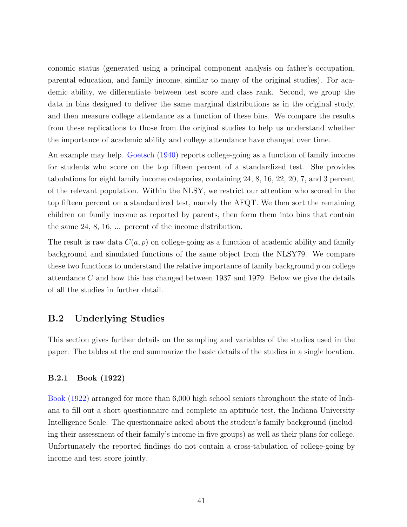conomic status (generated using a principal component analysis on father's occupation, parental education, and family income, similar to many of the original studies). For academic ability, we differentiate between test score and class rank. Second, we group the data in bins designed to deliver the same marginal distributions as in the original study, and then measure college attendance as a function of these bins. We compare the results from these replications to those from the original studies to help us understand whether the importance of academic ability and college attendance have changed over time.

An example may help. [Goetsch](#page-29-3) [\(1940\)](#page-29-3) reports college-going as a function of family income for students who score on the top fifteen percent of a standardized test. She provides tabulations for eight family income categories, containing 24, 8, 16, 22, 20, 7, and 3 percent of the relevant population. Within the NLSY, we restrict our attention who scored in the top fifteen percent on a standardized test, namely the AFQT. We then sort the remaining children on family income as reported by parents, then form them into bins that contain the same 24, 8, 16, ... percent of the income distribution.

The result is raw data  $C(a, p)$  on college-going as a function of academic ability and family background and simulated functions of the same object from the NLSY79. We compare these two functions to understand the relative importance of family background  $p$  on college attendance C and how this has changed between 1937 and 1979. Below we give the details of all the studies in further detail.

# B.2 Underlying Studies

This section gives further details on the sampling and variables of the studies used in the paper. The tables at the end summarize the basic details of the studies in a single location.

### B.2.1 Book (1922)

[Book](#page-27-5) [\(1922\)](#page-27-5) arranged for more than 6,000 high school seniors throughout the state of Indiana to fill out a short questionnaire and complete an aptitude test, the Indiana University Intelligence Scale. The questionnaire asked about the student's family background (including their assessment of their family's income in five groups) as well as their plans for college. Unfortunately the reported findings do not contain a cross-tabulation of college-going by income and test score jointly.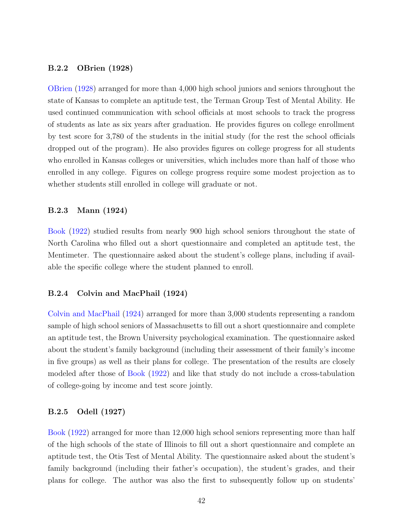#### B.2.2 OBrien (1928)

[OBrien](#page-32-4) [\(1928\)](#page-32-4) arranged for more than 4,000 high school juniors and seniors throughout the state of Kansas to complete an aptitude test, the Terman Group Test of Mental Ability. He used continued communication with school officials at most schools to track the progress of students as late as six years after graduation. He provides figures on college enrollment by test score for 3,780 of the students in the initial study (for the rest the school officials dropped out of the program). He also provides figures on college progress for all students who enrolled in Kansas colleges or universities, which includes more than half of those who enrolled in any college. Figures on college progress require some modest projection as to whether students still enrolled in college will graduate or not.

#### B.2.3 Mann (1924)

[Book](#page-27-5) [\(1922\)](#page-27-5) studied results from nearly 900 high school seniors throughout the state of North Carolina who filled out a short questionnaire and completed an aptitude test, the Mentimeter. The questionnaire asked about the student's college plans, including if available the specific college where the student planned to enroll.

#### B.2.4 Colvin and MacPhail (1924)

[Colvin and MacPhail](#page-28-8) [\(1924\)](#page-28-8) arranged for more than 3,000 students representing a random sample of high school seniors of Massachusetts to fill out a short questionnaire and complete an aptitude test, the Brown University psychological examination. The questionnaire asked about the student's family background (including their assessment of their family's income in five groups) as well as their plans for college. The presentation of the results are closely modeled after those of [Book](#page-27-5) [\(1922\)](#page-27-5) and like that study do not include a cross-tabulation of college-going by income and test score jointly.

#### B.2.5 Odell (1927)

[Book](#page-27-5) [\(1922\)](#page-27-5) arranged for more than 12,000 high school seniors representing more than half of the high schools of the state of Illinois to fill out a short questionnaire and complete an aptitude test, the Otis Test of Mental Ability. The questionnaire asked about the student's family background (including their father's occupation), the student's grades, and their plans for college. The author was also the first to subsequently follow up on students'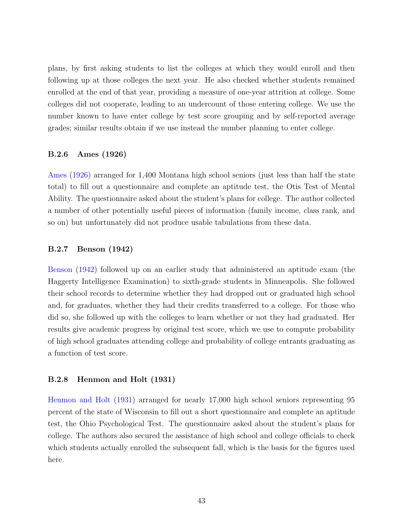plans, by first asking students to list the colleges at which they would enroll and then following up at those colleges the next year. He also checked whether students remained enrolled at the end of that year, providing a measure of one-year attrition at college. Some colleges did not cooperate, leading to an undercount of those entering college. We use the number known to have enter college by test score grouping and by self-reported average grades; similar results obtain if we use instead the number planning to enter college.

#### B.2.6 Ames (1926)

[Ames](#page-27-6) [\(1926\)](#page-27-6) arranged for 1,400 Montana high school seniors (just less than half the state total) to fill out a questionnaire and complete an aptitude test, the Otis Test of Mental Ability. The questionnaire asked about the student's plans for college. The author collected a number of other potentially useful pieces of information (family income, class rank, and so on) but unfortunately did not produce usable tabulations from these data.

#### B.2.7 Benson (1942)

[Benson](#page-27-7) [\(1942\)](#page-27-7) followed up on an earlier study that administered an aptitude exam (the Haggerty Intelligence Examination) to sixth-grade students in Minneapolis. She followed their school records to determine whether they had dropped out or graduated high school and, for graduates, whether they had their credits transferred to a college. For those who did so, she followed up with the colleges to learn whether or not they had graduated. Her results give academic progress by original test score, which we use to compute probability of high school graduates attending college and probability of college entrants graduating as a function of test score.

#### B.2.8 Henmon and Holt (1931)

[Henmon and Holt](#page-30-11) [\(1931\)](#page-30-11) arranged for nearly 17,000 high school seniors representing 95 percent of the state of Wisconsin to fill out a short questionnaire and complete an aptitude test, the Ohio Psychological Test. The questionnaire asked about the student's plans for college. The authors also secured the assistance of high school and college officials to check which students actually enrolled the subsequent fall, which is the basis for the figures used here.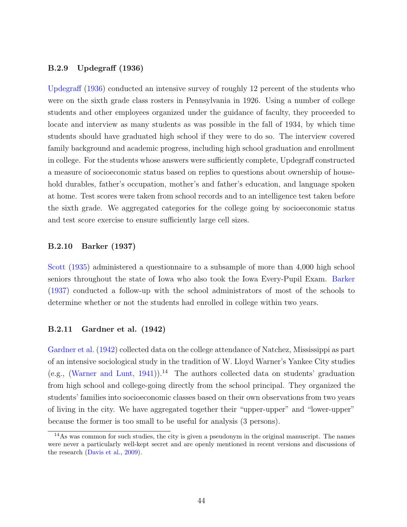#### B.2.9 Updegraff (1936)

[Updegraff](#page-33-0) [\(1936\)](#page-33-0) conducted an intensive survey of roughly 12 percent of the students who were on the sixth grade class rosters in Pennsylvania in 1926. Using a number of college students and other employees organized under the guidance of faculty, they proceeded to locate and interview as many students as was possible in the fall of 1934, by which time students should have graduated high school if they were to do so. The interview covered family background and academic progress, including high school graduation and enrollment in college. For the students whose answers were sufficiently complete, Updegraff constructed a measure of socioeconomic status based on replies to questions about ownership of household durables, father's occupation, mother's and father's education, and language spoken at home. Test scores were taken from school records and to an intelligence test taken before the sixth grade. We aggregated categories for the college going by socioeconomic status and test score exercise to ensure sufficiently large cell sizes.

#### B.2.10 Barker (1937)

[Scott](#page-33-4) [\(1935\)](#page-33-4) administered a questionnaire to a subsample of more than 4,000 high school seniors throughout the state of Iowa who also took the Iowa Every-Pupil Exam. [Barker](#page-27-8) [\(1937\)](#page-27-8) conducted a follow-up with the school administrators of most of the schools to determine whether or not the students had enrolled in college within two years.

## B.2.11 Gardner et al. (1942)

[Gardner et al.](#page-29-8) [\(1942\)](#page-29-8) collected data on the college attendance of Natchez, Mississippi as part of an intensive sociological study in the tradition of W. Lloyd Warner's Yankee City studies (e.g., [\(Warner and Lunt,](#page-34-1) [1941\)](#page-34-1)).<sup>[14](#page-43-0)</sup> The authors collected data on students' graduation from high school and college-going directly from the school principal. They organized the students' families into socioeconomic classes based on their own observations from two years of living in the city. We have aggregated together their "upper-upper" and "lower-upper" because the former is too small to be useful for analysis (3 persons).

<span id="page-43-0"></span><sup>&</sup>lt;sup>14</sup>As was common for such studies, the city is given a pseudonym in the original manuscript. The names were never a particularly well-kept secret and are openly mentioned in recent versions and discussions of the research [\(Davis et al.,](#page-28-9) [2009\)](#page-28-9).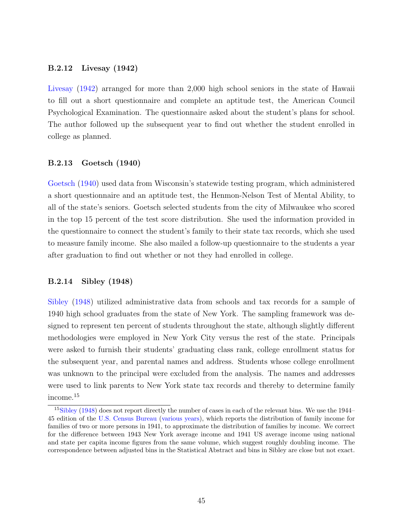#### B.2.12 Livesay (1942)

[Livesay](#page-31-7) [\(1942\)](#page-31-7) arranged for more than 2,000 high school seniors in the state of Hawaii to fill out a short questionnaire and complete an aptitude test, the American Council Psychological Examination. The questionnaire asked about the student's plans for school. The author followed up the subsequent year to find out whether the student enrolled in college as planned.

#### B.2.13 Goetsch (1940)

[Goetsch](#page-29-3) [\(1940\)](#page-29-3) used data from Wisconsin's statewide testing program, which administered a short questionnaire and an aptitude test, the Henmon-Nelson Test of Mental Ability, to all of the state's seniors. Goetsch selected students from the city of Milwaukee who scored in the top 15 percent of the test score distribution. She used the information provided in the questionnaire to connect the student's family to their state tax records, which she used to measure family income. She also mailed a follow-up questionnaire to the students a year after graduation to find out whether or not they had enrolled in college.

#### B.2.14 Sibley (1948)

[Sibley](#page-33-5) [\(1948\)](#page-33-5) utilized administrative data from schools and tax records for a sample of 1940 high school graduates from the state of New York. The sampling framework was designed to represent ten percent of students throughout the state, although slightly different methodologies were employed in New York City versus the rest of the state. Principals were asked to furnish their students' graduating class rank, college enrollment status for the subsequent year, and parental names and address. Students whose college enrollment was unknown to the principal were excluded from the analysis. The names and addresses were used to link parents to New York state tax records and thereby to determine family income.[15](#page-44-0)

<span id="page-44-0"></span><sup>&</sup>lt;sup>15</sup>[Sibley](#page-33-5) [\(1948\)](#page-33-5) does not report directly the number of cases in each of the relevant bins. We use the 1944– 45 edition of the [U.S. Census Bureau](#page-33-6) [\(various years\)](#page-33-6), which reports the distribution of family income for families of two or more persons in 1941, to approximate the distribution of families by income. We correct for the difference between 1943 New York average income and 1941 US average income using national and state per capita income figures from the same volume, which suggest roughly doubling income. The correspondence between adjusted bins in the Statistical Abstract and bins in Sibley are close but not exact.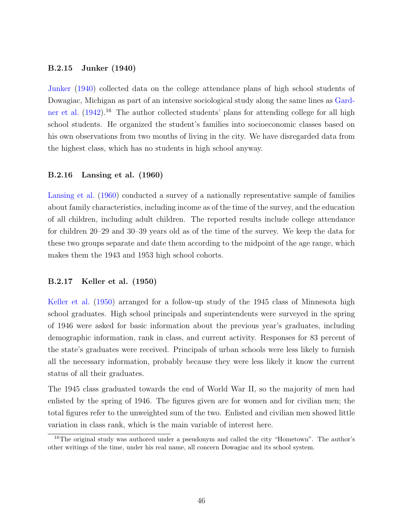#### B.2.15 Junker (1940)

[Junker](#page-31-8) [\(1940\)](#page-31-8) collected data on the college attendance plans of high school students of Dowagiac, Michigan as part of an intensive sociological study along the same lines as [Gard](#page-29-8)[ner et al.](#page-29-8)  $(1942)$ <sup>[16](#page-45-0)</sup> The author collected students' plans for attending college for all high school students. He organized the student's families into socioeconomic classes based on his own observations from two months of living in the city. We have disregarded data from the highest class, which has no students in high school anyway.

#### B.2.16 Lansing et al. (1960)

[Lansing et al.](#page-31-4) [\(1960\)](#page-31-4) conducted a survey of a nationally representative sample of families about family characteristics, including income as of the time of the survey, and the education of all children, including adult children. The reported results include college attendance for children 20–29 and 30–39 years old as of the time of the survey. We keep the data for these two groups separate and date them according to the midpoint of the age range, which makes them the 1943 and 1953 high school cohorts.

#### B.2.17 Keller et al. (1950)

[Keller et al.](#page-31-9) [\(1950\)](#page-31-9) arranged for a follow-up study of the 1945 class of Minnesota high school graduates. High school principals and superintendents were surveyed in the spring of 1946 were asked for basic information about the previous year's graduates, including demographic information, rank in class, and current activity. Responses for 83 percent of the state's graduates were received. Principals of urban schools were less likely to furnish all the necessary information, probably because they were less likely it know the current status of all their graduates.

The 1945 class graduated towards the end of World War II, so the majority of men had enlisted by the spring of 1946. The figures given are for women and for civilian men; the total figures refer to the unweighted sum of the two. Enlisted and civilian men showed little variation in class rank, which is the main variable of interest here.

<span id="page-45-0"></span><sup>&</sup>lt;sup>16</sup>The original study was authored under a pseudonym and called the city "Hometown". The author's other writings of the time, under his real name, all concern Dowagiac and its school system.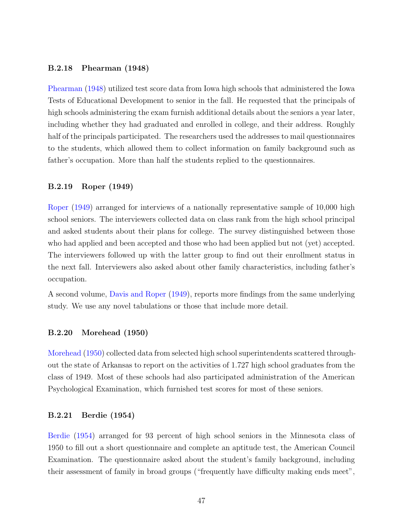#### B.2.18 Phearman (1948)

[Phearman](#page-32-5) [\(1948\)](#page-32-5) utilized test score data from Iowa high schools that administered the Iowa Tests of Educational Development to senior in the fall. He requested that the principals of high schools administering the exam furnish additional details about the seniors a year later, including whether they had graduated and enrolled in college, and their address. Roughly half of the principals participated. The researchers used the addresses to mail questionnaires to the students, which allowed them to collect information on family background such as father's occupation. More than half the students replied to the questionnaires.

#### B.2.19 Roper (1949)

[Roper](#page-33-2) [\(1949\)](#page-33-2) arranged for interviews of a nationally representative sample of 10,000 high school seniors. The interviewers collected data on class rank from the high school principal and asked students about their plans for college. The survey distinguished between those who had applied and been accepted and those who had been applied but not (yet) accepted. The interviewers followed up with the latter group to find out their enrollment status in the next fall. Interviewers also asked about other family characteristics, including father's occupation.

A second volume, [Davis and Roper](#page-28-10) [\(1949\)](#page-28-10), reports more findings from the same underlying study. We use any novel tabulations or those that include more detail.

### B.2.20 Morehead (1950)

[Morehead](#page-32-6) [\(1950\)](#page-32-6) collected data from selected high school superintendents scattered throughout the state of Arkansas to report on the activities of 1.727 high school graduates from the class of 1949. Most of these schools had also participated administration of the American Psychological Examination, which furnished test scores for most of these seniors.

#### B.2.21 Berdie (1954)

[Berdie](#page-27-9) [\(1954\)](#page-27-9) arranged for 93 percent of high school seniors in the Minnesota class of 1950 to fill out a short questionnaire and complete an aptitude test, the American Council Examination. The questionnaire asked about the student's family background, including their assessment of family in broad groups ("frequently have difficulty making ends meet",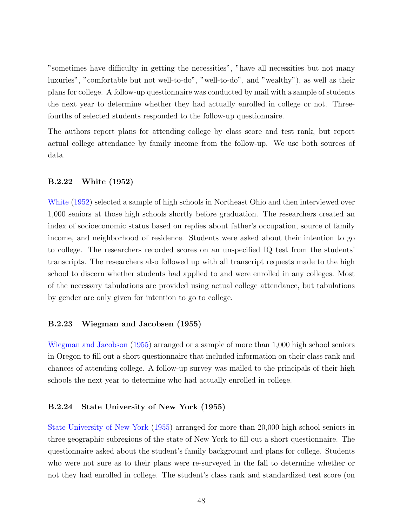"sometimes have difficulty in getting the necessities", "have all necessities but not many luxuries", "comfortable but not well-to-do", "well-to-do", and "wealthy"), as well as their plans for college. A follow-up questionnaire was conducted by mail with a sample of students the next year to determine whether they had actually enrolled in college or not. Threefourths of selected students responded to the follow-up questionnaire.

The authors report plans for attending college by class score and test rank, but report actual college attendance by family income from the follow-up. We use both sources of data.

### B.2.22 White (1952)

[White](#page-34-2) [\(1952\)](#page-34-2) selected a sample of high schools in Northeast Ohio and then interviewed over 1,000 seniors at those high schools shortly before graduation. The researchers created an index of socioeconomic status based on replies about father's occupation, source of family income, and neighborhood of residence. Students were asked about their intention to go to college. The researchers recorded scores on an unspecified IQ test from the students' transcripts. The researchers also followed up with all transcript requests made to the high school to discern whether students had applied to and were enrolled in any colleges. Most of the necessary tabulations are provided using actual college attendance, but tabulations by gender are only given for intention to go to college.

#### B.2.23 Wiegman and Jacobsen (1955)

[Wiegman and Jacobson](#page-34-3) [\(1955\)](#page-34-3) arranged or a sample of more than 1,000 high school seniors in Oregon to fill out a short questionnaire that included information on their class rank and chances of attending college. A follow-up survey was mailed to the principals of their high schools the next year to determine who had actually enrolled in college.

#### B.2.24 State University of New York (1955)

[State University of New York](#page-33-7) [\(1955\)](#page-33-7) arranged for more than 20,000 high school seniors in three geographic subregions of the state of New York to fill out a short questionnaire. The questionnaire asked about the student's family background and plans for college. Students who were not sure as to their plans were re-surveyed in the fall to determine whether or not they had enrolled in college. The student's class rank and standardized test score (on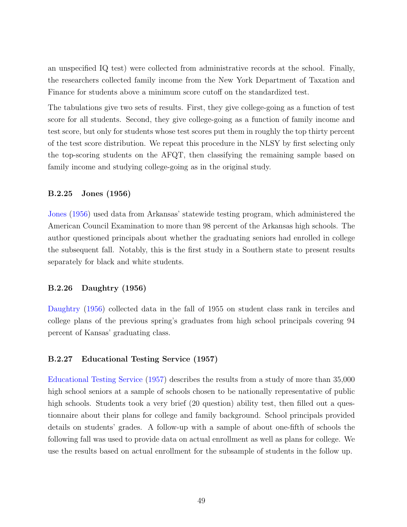an unspecified IQ test) were collected from administrative records at the school. Finally, the researchers collected family income from the New York Department of Taxation and Finance for students above a minimum score cutoff on the standardized test.

The tabulations give two sets of results. First, they give college-going as a function of test score for all students. Second, they give college-going as a function of family income and test score, but only for students whose test scores put them in roughly the top thirty percent of the test score distribution. We repeat this procedure in the NLSY by first selecting only the top-scoring students on the AFQT, then classifying the remaining sample based on family income and studying college-going as in the original study.

### B.2.25 Jones (1956)

[Jones](#page-31-10) [\(1956\)](#page-31-10) used data from Arkansas' statewide testing program, which administered the American Council Examination to more than 98 percent of the Arkansas high schools. The author questioned principals about whether the graduating seniors had enrolled in college the subsequent fall. Notably, this is the first study in a Southern state to present results separately for black and white students.

#### B.2.26 Daughtry (1956)

[Daughtry](#page-28-11) [\(1956\)](#page-28-11) collected data in the fall of 1955 on student class rank in terciles and college plans of the previous spring's graduates from high school principals covering 94 percent of Kansas' graduating class.

#### B.2.27 Educational Testing Service (1957)

[Educational Testing Service](#page-29-9) [\(1957\)](#page-29-9) describes the results from a study of more than 35,000 high school seniors at a sample of schools chosen to be nationally representative of public high schools. Students took a very brief (20 question) ability test, then filled out a questionnaire about their plans for college and family background. School principals provided details on students' grades. A follow-up with a sample of about one-fifth of schools the following fall was used to provide data on actual enrollment as well as plans for college. We use the results based on actual enrollment for the subsample of students in the follow up.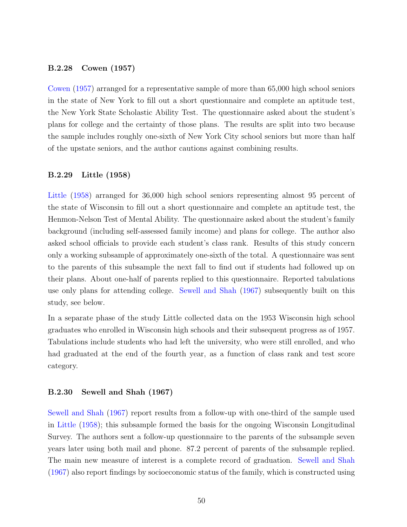#### B.2.28 Cowen (1957)

[Cowen](#page-28-12) [\(1957\)](#page-28-12) arranged for a representative sample of more than 65,000 high school seniors in the state of New York to fill out a short questionnaire and complete an aptitude test, the New York State Scholastic Ability Test. The questionnaire asked about the student's plans for college and the certainty of those plans. The results are split into two because the sample includes roughly one-sixth of New York City school seniors but more than half of the upstate seniors, and the author cautions against combining results.

### B.2.29 Little (1958)

[Little](#page-31-11) [\(1958\)](#page-31-11) arranged for 36,000 high school seniors representing almost 95 percent of the state of Wisconsin to fill out a short questionnaire and complete an aptitude test, the Henmon-Nelson Test of Mental Ability. The questionnaire asked about the student's family background (including self-assessed family income) and plans for college. The author also asked school officials to provide each student's class rank. Results of this study concern only a working subsample of approximately one-sixth of the total. A questionnaire was sent to the parents of this subsample the next fall to find out if students had followed up on their plans. About one-half of parents replied to this questionnaire. Reported tabulations use only plans for attending college. [Sewell and Shah](#page-33-8) [\(1967\)](#page-33-8) subsequently built on this study, see below.

In a separate phase of the study Little collected data on the 1953 Wisconsin high school graduates who enrolled in Wisconsin high schools and their subsequent progress as of 1957. Tabulations include students who had left the university, who were still enrolled, and who had graduated at the end of the fourth year, as a function of class rank and test score category.

#### B.2.30 Sewell and Shah (1967)

[Sewell and Shah](#page-33-8) [\(1967\)](#page-33-8) report results from a follow-up with one-third of the sample used in [Little](#page-31-11) [\(1958\)](#page-31-11); this subsample formed the basis for the ongoing Wisconsin Longitudinal Survey. The authors sent a follow-up questionnaire to the parents of the subsample seven years later using both mail and phone. 87.2 percent of parents of the subsample replied. The main new measure of interest is a complete record of graduation. [Sewell and Shah](#page-33-8) [\(1967\)](#page-33-8) also report findings by socioeconomic status of the family, which is constructed using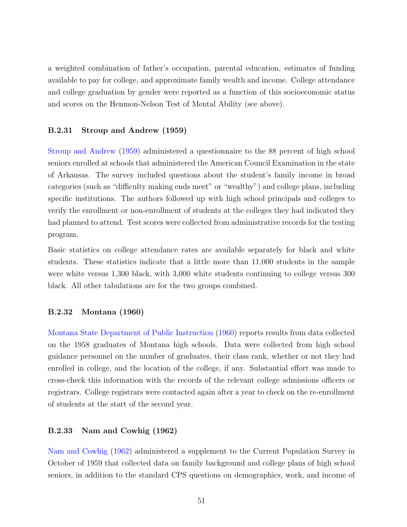a weighted combination of father's occupation, parental education, estimates of funding available to pay for college, and approximate family wealth and income. College attendance and college graduation by gender were reported as a function of this socioeconomic status and scores on the Henmon-Nelson Test of Mental Ability (see above).

### B.2.31 Stroup and Andrew (1959)

[Stroup and Andrew](#page-33-9) [\(1959\)](#page-33-9) administered a questionnaire to the 88 percent of high school seniors enrolled at schools that administered the American Council Examination in the state of Arkansas. The survey included questions about the student's family income in broad categories (such as "difficulty making ends meet" or "wealthy") and college plans, including specific institutions. The authors followed up with high school principals and colleges to verify the enrollment or non-enrollment of students at the colleges they had indicated they had planned to attend. Test scores were collected from administrative records for the testing program.

Basic statistics on college attendance rates are available separately for black and white students. These statistics indicate that a little more than 11,000 students in the sample were white versus 1,300 black, with 3,000 white students continuing to college versus 300 black. All other tabulations are for the two groups combined.

#### B.2.32 Montana (1960)

[Montana State Department of Public Instruction](#page-32-7) [\(1960\)](#page-32-7) reports results from data collected on the 1958 graduates of Montana high schools. Data were collected from high school guidance personnel on the number of graduates, their class rank, whether or not they had enrolled in college, and the location of the college, if any. Substantial effort was made to cross-check this information with the records of the relevant college admissions officers or registrars. College registrars were contacted again after a year to check on the re-enrollment of students at the start of the second year.

#### B.2.33 Nam and Cowhig (1962)

[Nam and Cowhig](#page-32-8) [\(1962\)](#page-32-8) administered a supplement to the Current Population Survey in October of 1959 that collected data on family background and college plans of high school seniors, in addition to the standard CPS questions on demographics, work, and income of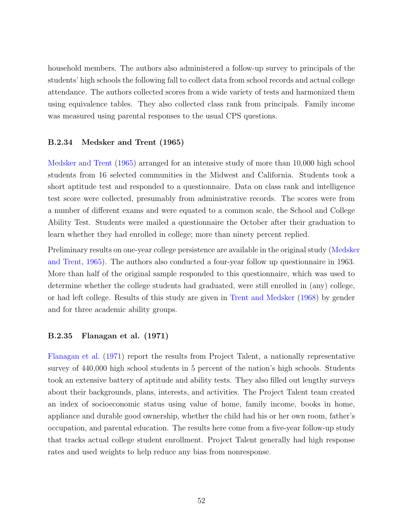household members. The authors also administered a follow-up survey to principals of the students' high schools the following fall to collect data from school records and actual college attendance. The authors collected scores from a wide variety of tests and harmonized them using equivalence tables. They also collected class rank from principals. Family income was measured using parental responses to the usual CPS questions.

#### B.2.34 Medsker and Trent (1965)

[Medsker and Trent](#page-32-9) [\(1965\)](#page-32-9) arranged for an intensive study of more than 10,000 high school students from 16 selected communities in the Midwest and California. Students took a short aptitude test and responded to a questionnaire. Data on class rank and intelligence test score were collected, presumably from administrative records. The scores were from a number of different exams and were equated to a common scale, the School and College Ability Test. Students were mailed a questionnaire the October after their graduation to learn whether they had enrolled in college; more than ninety percent replied.

Preliminary results on one-year college persistence are available in the original study [\(Medske](#page-32-9)r [and Trent,](#page-32-9) [1965\)](#page-32-9). The authors also conducted a four-year follow up questionnaire in 1963. More than half of the original sample responded to this questionnaire, which was used to determine whether the college students had graduated, were still enrolled in (any) college, or had left college. Results of this study are given in [Trent and Medsker](#page-33-10) [\(1968\)](#page-33-10) by gender and for three academic ability groups.

#### B.2.35 Flanagan et al. (1971)

[Flanagan et al.](#page-29-2) [\(1971\)](#page-29-2) report the results from Project Talent, a nationally representative survey of 440,000 high school students in 5 percent of the nation's high schools. Students took an extensive battery of aptitude and ability tests. They also filled out lengthy surveys about their backgrounds, plans, interests, and activities. The Project Talent team created an index of socioeconomic status using value of home, family income, books in home, appliance and durable good ownership, whether the child had his or her own room, father's occupation, and parental education. The results here come from a five-year follow-up study that tracks actual college student enrollment. Project Talent generally had high response rates and used weights to help reduce any bias from nonresponse.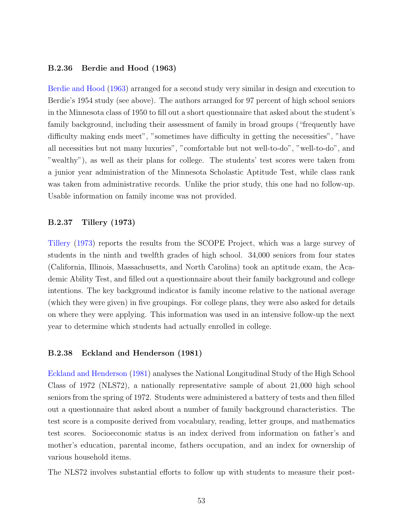#### B.2.36 Berdie and Hood (1963)

[Berdie and Hood](#page-27-10) [\(1963\)](#page-27-10) arranged for a second study very similar in design and execution to Berdie's 1954 study (see above). The authors arranged for 97 percent of high school seniors in the Minnesota class of 1950 to fill out a short questionnaire that asked about the student's family background, including their assessment of family in broad groups ("frequently have difficulty making ends meet", "sometimes have difficulty in getting the necessities", "have all necessities but not many luxuries", "comfortable but not well-to-do", "well-to-do", and "wealthy"), as well as their plans for college. The students' test scores were taken from a junior year administration of the Minnesota Scholastic Aptitude Test, while class rank was taken from administrative records. Unlike the prior study, this one had no follow-up. Usable information on family income was not provided.

### B.2.37 Tillery (1973)

[Tillery](#page-33-11) [\(1973\)](#page-33-11) reports the results from the SCOPE Project, which was a large survey of students in the ninth and twelfth grades of high school. 34,000 seniors from four states (California, Illinois, Massachusetts, and North Carolina) took an aptitude exam, the Academic Ability Test, and filled out a questionnaire about their family background and college intentions. The key background indicator is family income relative to the national average (which they were given) in five groupings. For college plans, they were also asked for details on where they were applying. This information was used in an intensive follow-up the next year to determine which students had actually enrolled in college.

#### B.2.38 Eckland and Henderson (1981)

[Eckland and Henderson](#page-29-10) [\(1981\)](#page-29-10) analyses the National Longitudinal Study of the High School Class of 1972 (NLS72), a nationally representative sample of about 21,000 high school seniors from the spring of 1972. Students were administered a battery of tests and then filled out a questionnaire that asked about a number of family background characteristics. The test score is a composite derived from vocabulary, reading, letter groups, and mathematics test scores. Socioeconomic status is an index derived from information on father's and mother's education, parental income, fathers occupation, and an index for ownership of various household items.

The NLS72 involves substantial efforts to follow up with students to measure their post-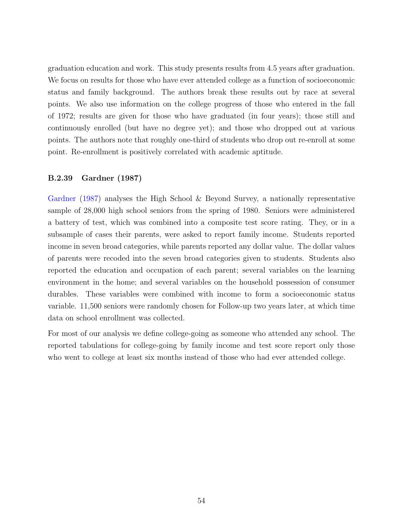graduation education and work. This study presents results from 4.5 years after graduation. We focus on results for those who have ever attended college as a function of socioeconomic status and family background. The authors break these results out by race at several points. We also use information on the college progress of those who entered in the fall of 1972; results are given for those who have graduated (in four years); those still and continuously enrolled (but have no degree yet); and those who dropped out at various points. The authors note that roughly one-third of students who drop out re-enroll at some point. Re-enrollment is positively correlated with academic aptitude.

### B.2.39 Gardner (1987)

[Gardner](#page-29-11) [\(1987\)](#page-29-11) analyses the High School & Beyond Survey, a nationally representative sample of 28,000 high school seniors from the spring of 1980. Seniors were administered a battery of test, which was combined into a composite test score rating. They, or in a subsample of cases their parents, were asked to report family income. Students reported income in seven broad categories, while parents reported any dollar value. The dollar values of parents were recoded into the seven broad categories given to students. Students also reported the education and occupation of each parent; several variables on the learning environment in the home; and several variables on the household possession of consumer durables. These variables were combined with income to form a socioeconomic status variable. 11,500 seniors were randomly chosen for Follow-up two years later, at which time data on school enrollment was collected.

For most of our analysis we define college-going as someone who attended any school. The reported tabulations for college-going by family income and test score report only those who went to college at least six months instead of those who had ever attended college.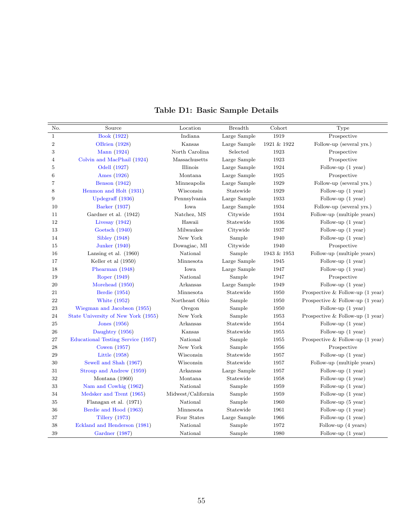<span id="page-54-0"></span>

| No.            | Source                              | Location           | <b>Breadth</b> | Cohort      | Type                                       |
|----------------|-------------------------------------|--------------------|----------------|-------------|--------------------------------------------|
| $\mathbf{1}$   | <b>Book</b> (1922)                  | Indiana            | Large Sample   | 1919        | Prospective                                |
| $\sqrt{2}$     | <b>OBrien</b> (1928)                | Kansas             | Large Sample   | 1921 & 1922 | Follow-up (several yrs.)                   |
| $\,3$          | Mann (1924)                         | North Carolina     | Selected       | 1923        | Prospective                                |
| $\overline{4}$ | Colvin and MacPhail (1924)          | Massachusetts      | Large Sample   | 1923        | Prospective                                |
| 5              | Odell (1927)                        | Illinois           | Large Sample   | 1924        | Follow-up $(1 \text{ year})$               |
| 6              | Ames (1926)                         | Montana            | Large Sample   | 1925        | Prospective                                |
| $\overline{7}$ | <b>Benson</b> (1942)                | Minneapolis        | Large Sample   | 1929        | Follow-up (several yrs.)                   |
| 8              | Henmon and Holt (1931)              | Wisconsin          | Statewide      | 1929        | Follow-up $(1 \text{ year})$               |
| 9              | Updegraff $(1936)$                  | Pennsylvania       | Large Sample   | 1933        | Follow-up $(1$ year)                       |
| 10             | Barker (1937)                       | Iowa               | Large Sample   | 1934        | Follow-up (several yrs.)                   |
| 11             | Gardner et al. (1942)               | Natchez, MS        | Citywide       | 1934        | Follow-up (multiple years)                 |
| 12             | Livesay $(1942)$                    | Hawaii             | Statewide      | 1936        | Follow-up (1 year)                         |
| 13             | Goetsch (1940)                      | Milwaukee          | Citywide       | 1937        | Follow-up $(1 \text{ year})$               |
| 14             | Sibley $(1948)$                     | New York           | Sample         | 1940        | Follow-up $(1$ year)                       |
| 15             | <b>Junker</b> (1940)                | Dowagiac, MI       | Citywide       | 1940        | Prospective                                |
| 16             | Lansing et al. $(1960)$             | National           | Sample         | 1943 & 1953 | Follow-up (multiple years)                 |
| 17             | Keller et al $(1950)$               | Minnesota          | Large Sample   | 1945        | Follow-up (1 year)                         |
| 18             | Phearman (1948)                     | Iowa               | Large Sample   | 1947        | Follow-up $(1$ year)                       |
| 19             | Roper (1949)                        | National           | Sample         | 1947        | Prospective                                |
| 20             | Morehead (1950)                     | Arkansas           | Large Sample   | 1949        | Follow-up $(1$ year)                       |
| 21             | Berdie (1954)                       | Minnesota          | Statewide      | 1950        | Prospective & Follow-up $(1 \text{ year})$ |
| 22             | <b>White (1952)</b>                 | Northeast Ohio     | Sample         | 1950        | Prospective & Follow-up $(1 \text{ year})$ |
| $\bf 23$       | Wiegman and Jacobson (1955)         | Oregon             | Sample         | 1950        | Follow-up $(1$ year)                       |
| 24             | State University of New York (1955) | New York           | Sample         | 1953        | Prospective & Follow-up $(1 \text{ year})$ |
| 25             | Jones (1956)                        | Arkansas           | Statewide      | 1954        | Follow-up $(1$ year)                       |
| 26             | Daughtry (1956)                     | Kansas             | Statewide      | 1955        | Follow-up (1 year)                         |
| 27             | Educational Testing Service (1957)  | National           | Sample         | 1955        | Prospective & Follow-up $(1 \text{ year})$ |
| 28             | Cowen $(1957)$                      | New York           | Sample         | 1956        | Prospective                                |
| $\,29$         | Little (1958)                       | Wisconsin          | Statewide      | 1957        | Follow-up (1 year)                         |
| 30             | Sewell and Shah (1967)              | Wisconsin          | Statewide      | 1957        | Follow-up (multiple years)                 |
| 31             | Stroup and Andrew (1959)            | Arkansas           | Large Sample   | 1957        | Follow-up $(1$ year)                       |
| 32             | Montana $(1960)$                    | Montana            | Statewide      | 1958        | Follow-up $(1$ year)                       |
| 33             | Nam and Cowhig (1962)               | National           | Sample         | 1959        | Follow-up (1 year)                         |
| 34             | Medsker and Trent (1965)            | Midwest/California | Sample         | 1959        | Follow-up $(1$ year)                       |
| 35             | Flanagan et al. (1971)              | National           | Sample         | 1960        | Follow-up (5 year)                         |
| 36             | Berdie and Hood (1963)              | Minnesota          | Statewide      | 1961        | Follow-up (1 year)                         |
| 37             | Tillery $(1973)$                    | Four States        | Large Sample   | 1966        | Follow-up $(1 \text{ year})$               |
| 38             | Eckland and Henderson (1981)        | National           | Sample         | 1972        | Follow-up (4 years)                        |
| 39             | Gardner (1987)                      | National           | Sample         | 1980        | Follow-up $(1$ year)                       |

# Table D1: Basic Sample Details